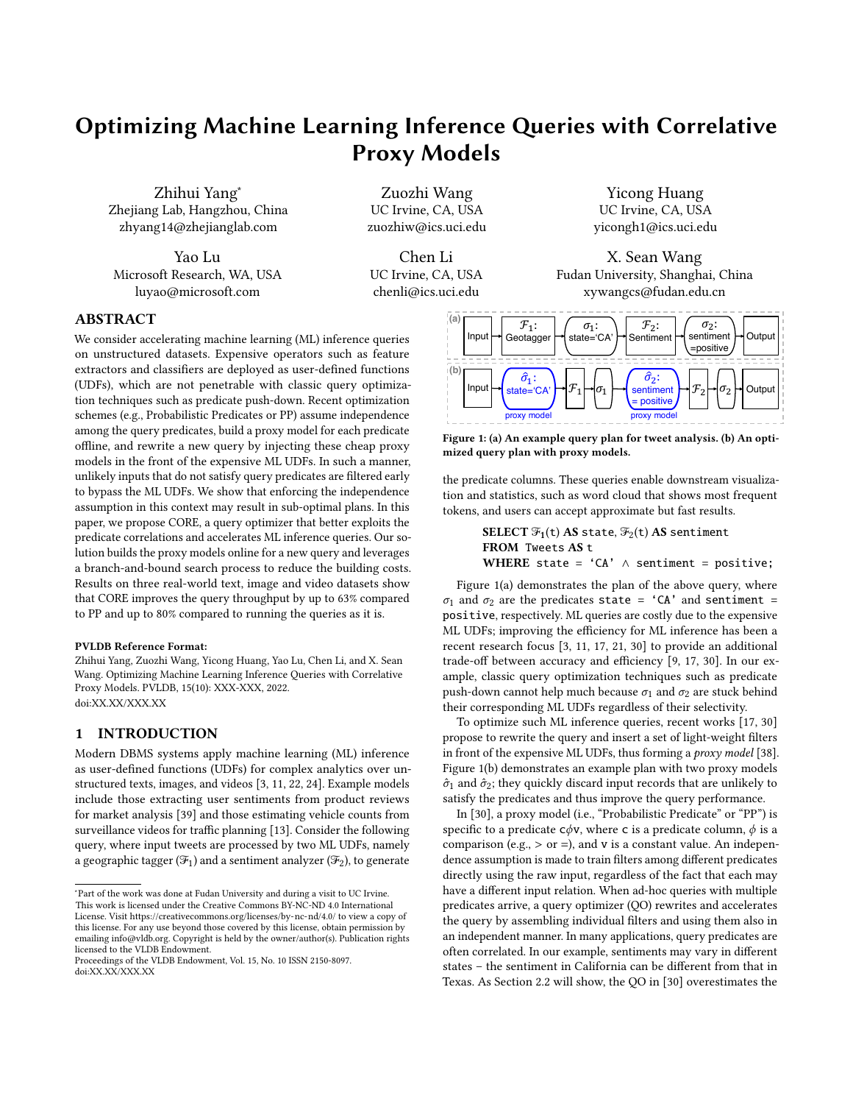# <span id="page-0-1"></span>Optimizing Machine Learning Inference Queries with Correlative Proxy Models

Zhihui Yang<sup>∗</sup> Zhejiang Lab, Hangzhou, China zhyang14@zhejianglab.com

Yao Lu Microsoft Research, WA, USA luyao@microsoft.com

Zuozhi Wang UC Irvine, CA, USA zuozhiw@ics.uci.edu

Chen Li UC Irvine, CA, USA chenli@ics.uci.edu

Input

<span id="page-0-0"></span>**(a)**

**(b)**

 $\mathcal{F}_1$ : Geotagge

 $\hat{\sigma}_1$ : state='C

Yicong Huang UC Irvine, CA, USA yicongh1@ics.uci.edu

X. Sean Wang Fudan University, Shanghai, China xywangcs@fudan.edu.cn

 $\mathcal{F}_2$ :

 $\hat{\sigma}_2$ : sentiment = positive

Sentiment H sentiment HOutput

 $\mathcal{F}_2$ 

 $\sigma_2$ : sentiment =positive



We consider accelerating machine learning (ML) inference queries on unstructured datasets. Expensive operators such as feature extractors and classifiers are deployed as user-defined functions (UDFs), which are not penetrable with classic query optimization techniques such as predicate push-down. Recent optimization schemes (e.g., Probabilistic Predicates or PP) assume independence among the query predicates, build a proxy model for each predicate offline, and rewrite a new query by injecting these cheap proxy models in the front of the expensive ML UDFs. In such a manner, unlikely inputs that do not satisfy query predicates are filtered early to bypass the ML UDFs. We show that enforcing the independence assumption in this context may result in sub-optimal plans. In this paper, we propose CORE, a query optimizer that better exploits the predicate correlations and accelerates ML inference queries. Our solution builds the proxy models online for a new query and leverages a branch-and-bound search process to reduce the building costs. Results on three real-world text, image and video datasets show that CORE improves the query throughput by up to 63% compared to PP and up to 80% compared to running the queries as it is.

#### PVLDB Reference Format:

Zhihui Yang, Zuozhi Wang, Yicong Huang, Yao Lu, Chen Li, and X. Sean Wang. Optimizing Machine Learning Inference Queries with Correlative Proxy Models. PVLDB, 15(10): XXX-XXX, 2022. [doi:XX.XX/XXX.XX](https://doi.org/XX.XX/XXX.XX)

# 1 INTRODUCTION

Modern DBMS systems apply machine learning (ML) inference as user-defined functions (UDFs) for complex analytics over unstructured texts, images, and videos [\[3,](#page-12-0) [11,](#page-12-1) [22,](#page-12-2) [24\]](#page-12-3). Example models include those extracting user sentiments from product reviews for market analysis [\[39\]](#page-12-4) and those estimating vehicle counts from surveillance videos for traffic planning [\[13\]](#page-12-5). Consider the following query, where input tweets are processed by two ML UDFs, namely a geographic tagger ( $\mathcal{F}_1$ ) and a sentiment analyzer ( $\mathcal{F}_2$ ), to generate

mized query plan with proxy models. the predicate columns. These queries enable downstream visualization and statistics, such as word cloud that shows most frequent

Figure 1: (a) An example query plan for tweet analysis. (b) An opti-

Input  $\rightarrow$  state='CA'  $\rightarrow$   $\mathcal{F}_1$   $\rightarrow$   $\sigma_1$   $\rightarrow$  sentiment  $\rightarrow$   $\mathcal{F}_2$   $\rightarrow$   $\sigma_2$   $\rightarrow$  Output

 $\sigma_1$ : state='CA'

proxy model proxy model

tokens, and users can accept approximate but fast results.

SELECT  $\mathfrak{F}_1(\mathsf{t})$  AS state,  $\mathfrak{F}_2(\mathsf{t})$  AS sentiment FROM Tweets AS t WHERE state =  $'CA' \wedge$  sentiment = positive;

Figure [1\(](#page-0-0)a) demonstrates the plan of the above query, where  $\sigma_1$  and  $\sigma_2$  are the predicates state = 'CA' and sentiment = positive, respectively. ML queries are costly due to the expensive ML UDFs; improving the efficiency for ML inference has been a recent research focus [\[3,](#page-12-0) [11,](#page-12-1) [17,](#page-12-6) [21,](#page-12-7) [30\]](#page-12-8) to provide an additional trade-off between accuracy and efficiency [\[9,](#page-12-9) [17,](#page-12-6) [30\]](#page-12-8). In our example, classic query optimization techniques such as predicate push-down cannot help much because  $\sigma_1$  and  $\sigma_2$  are stuck behind their corresponding ML UDFs regardless of their selectivity.

To optimize such ML inference queries, recent works [\[17,](#page-12-6) [30\]](#page-12-8) propose to rewrite the query and insert a set of light-weight filters in front of the expensive ML UDFs, thus forming a proxy model [\[38\]](#page-12-10). Figure [1\(](#page-0-0)b) demonstrates an example plan with two proxy models  $\hat{\sigma}_1$  and  $\hat{\sigma}_2$ ; they quickly discard input records that are unlikely to satisfy the predicates and thus improve the query performance.

In [\[30\]](#page-12-8), a proxy model (i.e., "Probabilistic Predicate" or "PP") is specific to a predicate  $c\phi v$ , where c is a predicate column,  $\phi$  is a comparison (e.g.,  $>$  or =), and v is a constant value. An independence assumption is made to train filters among different predicates directly using the raw input, regardless of the fact that each may have a different input relation. When ad-hoc queries with multiple predicates arrive, a query optimizer (QO) rewrites and accelerates the query by assembling individual filters and using them also in an independent manner. In many applications, query predicates are often correlated. In our example, sentiments may vary in different states – the sentiment in California can be different from that in Texas. As Section [2.2](#page-2-0) will show, the QO in [\[30\]](#page-12-8) overestimates the

<sup>∗</sup>Part of the work was done at Fudan University and during a visit to UC Irvine. This work is licensed under the Creative Commons BY-NC-ND 4.0 International License. Visit<https://creativecommons.org/licenses/by-nc-nd/4.0/> to view a copy of this license. For any use beyond those covered by this license, obtain permission by

emailing [info@vldb.org.](mailto:info@vldb.org) Copyright is held by the owner/author(s). Publication rights licensed to the VLDB Endowment.

Proceedings of the VLDB Endowment, Vol. 15, No. 10 ISSN 2150-8097. [doi:XX.XX/XXX.XX](https://doi.org/XX.XX/XXX.XX)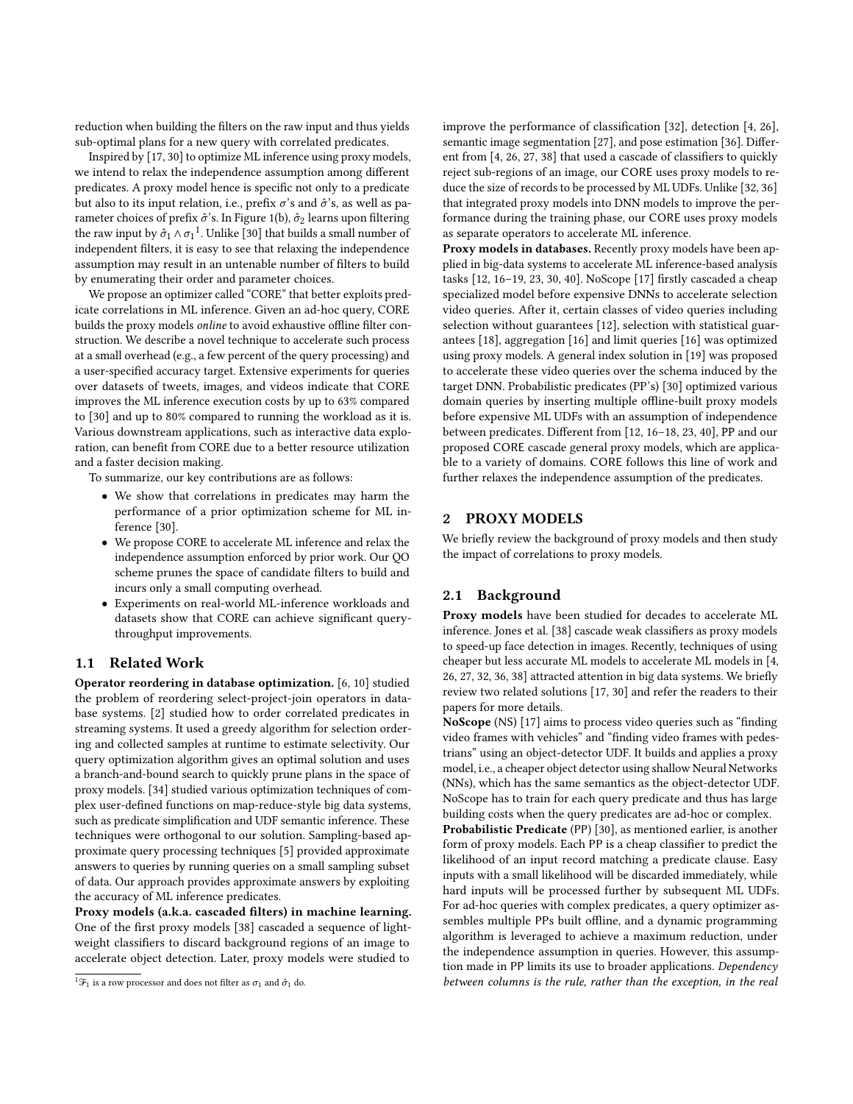reduction when building the filters on the raw input and thus yields sub-optimal plans for a new query with correlated predicates.

Inspired by [\[17,](#page-12-6) [30\]](#page-12-8) to optimize ML inference using proxy models, we intend to relax the independence assumption among different predicates. A proxy model hence is specific not only to a predicate but also to its input relation, i.e., prefix  $\sigma$ 's and  $\hat{\sigma}$ 's, as well as parameter choices of prefix  $\hat{\sigma}$ 's. In Figure [1\(](#page-0-0)b),  $\hat{\sigma}_2$  learns upon filtering the raw input by  $\sigma_1 \wedge \sigma_1^{-1}$  $\sigma_1 \wedge \sigma_1^{-1}$  $\sigma_1 \wedge \sigma_1^{-1}$ . Unlike [\[30\]](#page-12-8) that builds a small number of independent filters, it is easy to see that relaxing the independence assumption may result in an untenable number of filters to build by enumerating their order and parameter choices.

We propose an optimizer called "CORE" that better exploits predicate correlations in ML inference. Given an ad-hoc query, CORE builds the proxy models online to avoid exhaustive offline filter construction. We describe a novel technique to accelerate such process at a small overhead (e.g., a few percent of the query processing) and a user-specified accuracy target. Extensive experiments for queries over datasets of tweets, images, and videos indicate that CORE improves the ML inference execution costs by up to 63% compared to [\[30\]](#page-12-8) and up to 80% compared to running the workload as it is. Various downstream applications, such as interactive data exploration, can benefit from CORE due to a better resource utilization and a faster decision making.

To summarize, our key contributions are as follows:

- We show that correlations in predicates may harm the performance of a prior optimization scheme for ML inference [\[30\]](#page-12-8).
- We propose CORE to accelerate ML inference and relax the independence assumption enforced by prior work. Our QO scheme prunes the space of candidate filters to build and incurs only a small computing overhead.
- Experiments on real-world ML-inference workloads and datasets show that CORE can achieve significant querythroughput improvements.

#### 1.1 Related Work

Operator reordering in database optimization. [\[6,](#page-12-11) [10\]](#page-12-12) studied the problem of reordering select-project-join operators in database systems. [\[2\]](#page-12-13) studied how to order correlated predicates in streaming systems. It used a greedy algorithm for selection ordering and collected samples at runtime to estimate selectivity. Our query optimization algorithm gives an optimal solution and uses a branch-and-bound search to quickly prune plans in the space of proxy models. [\[34\]](#page-12-14) studied various optimization techniques of complex user-defined functions on map-reduce-style big data systems, such as predicate simplification and UDF semantic inference. These techniques were orthogonal to our solution. Sampling-based approximate query processing techniques [\[5\]](#page-12-15) provided approximate answers to queries by running queries on a small sampling subset of data. Our approach provides approximate answers by exploiting the accuracy of ML inference predicates.

Proxy models (a.k.a. cascaded filters) in machine learning. One of the first proxy models [\[38\]](#page-12-10) cascaded a sequence of lightweight classifiers to discard background regions of an image to accelerate object detection. Later, proxy models were studied to

improve the performance of classification [\[32\]](#page-12-16), detection [\[4,](#page-12-17) [26\]](#page-12-18), semantic image segmentation [\[27\]](#page-12-19), and pose estimation [\[36\]](#page-12-20). Different from [\[4,](#page-12-17) [26,](#page-12-18) [27,](#page-12-19) [38\]](#page-12-10) that used a cascade of classifiers to quickly reject sub-regions of an image, our CORE uses proxy models to reduce the size of records to be processed by ML UDFs. Unlike [\[32,](#page-12-16) [36\]](#page-12-20) that integrated proxy models into DNN models to improve the performance during the training phase, our CORE uses proxy models as separate operators to accelerate ML inference.

Proxy models in databases. Recently proxy models have been applied in big-data systems to accelerate ML inference-based analysis tasks [\[12,](#page-12-21) [16–](#page-12-22)[19,](#page-12-23) [23,](#page-12-24) [30,](#page-12-8) [40\]](#page-12-25). NoScope [\[17\]](#page-12-6) firstly cascaded a cheap specialized model before expensive DNNs to accelerate selection video queries. After it, certain classes of video queries including selection without guarantees [\[12\]](#page-12-21), selection with statistical guarantees [\[18\]](#page-12-26), aggregation [\[16\]](#page-12-22) and limit queries [\[16\]](#page-12-22) was optimized using proxy models. A general index solution in [\[19\]](#page-12-23) was proposed to accelerate these video queries over the schema induced by the target DNN. Probabilistic predicates (PP's) [\[30\]](#page-12-8) optimized various domain queries by inserting multiple offline-built proxy models before expensive ML UDFs with an assumption of independence between predicates. Different from [\[12,](#page-12-21) [16](#page-12-22)[–18,](#page-12-26) [23,](#page-12-24) [40\]](#page-12-25), PP and our proposed CORE cascade general proxy models, which are applicable to a variety of domains. CORE follows this line of work and further relaxes the independence assumption of the predicates.

#### 2 PROXY MODELS

We briefly review the background of proxy models and then study the impact of correlations to proxy models.

# 2.1 Background

Proxy models have been studied for decades to accelerate ML inference. Jones et al. [\[38\]](#page-12-10) cascade weak classifiers as proxy models to speed-up face detection in images. Recently, techniques of using cheaper but less accurate ML models to accelerate ML models in [\[4,](#page-12-17) [26,](#page-12-18) [27,](#page-12-19) [32,](#page-12-16) [36,](#page-12-20) [38\]](#page-12-10) attracted attention in big data systems. We briefly review two related solutions [\[17,](#page-12-6) [30\]](#page-12-8) and refer the readers to their papers for more details.

NoScope (NS) [\[17\]](#page-12-6) aims to process video queries such as "finding video frames with vehicles" and "finding video frames with pedestrians" using an object-detector UDF. It builds and applies a proxy model, i.e., a cheaper object detector using shallow Neural Networks (NNs), which has the same semantics as the object-detector UDF. NoScope has to train for each query predicate and thus has large building costs when the query predicates are ad-hoc or complex.

Probabilistic Predicate (PP) [\[30\]](#page-12-8), as mentioned earlier, is another form of proxy models. Each PP is a cheap classifier to predict the likelihood of an input record matching a predicate clause. Easy inputs with a small likelihood will be discarded immediately, while hard inputs will be processed further by subsequent ML UDFs. For ad-hoc queries with complex predicates, a query optimizer assembles multiple PPs built offline, and a dynamic programming algorithm is leveraged to achieve a maximum reduction, under the independence assumption in queries. However, this assumption made in PP limits its use to broader applications. Dependency between columns is the rule, rather than the exception, in the real

 $^1\mathcal{F}_1$  is a row processor and does not filter as  $\sigma_1$  and  $\hat{\sigma}_1$  do.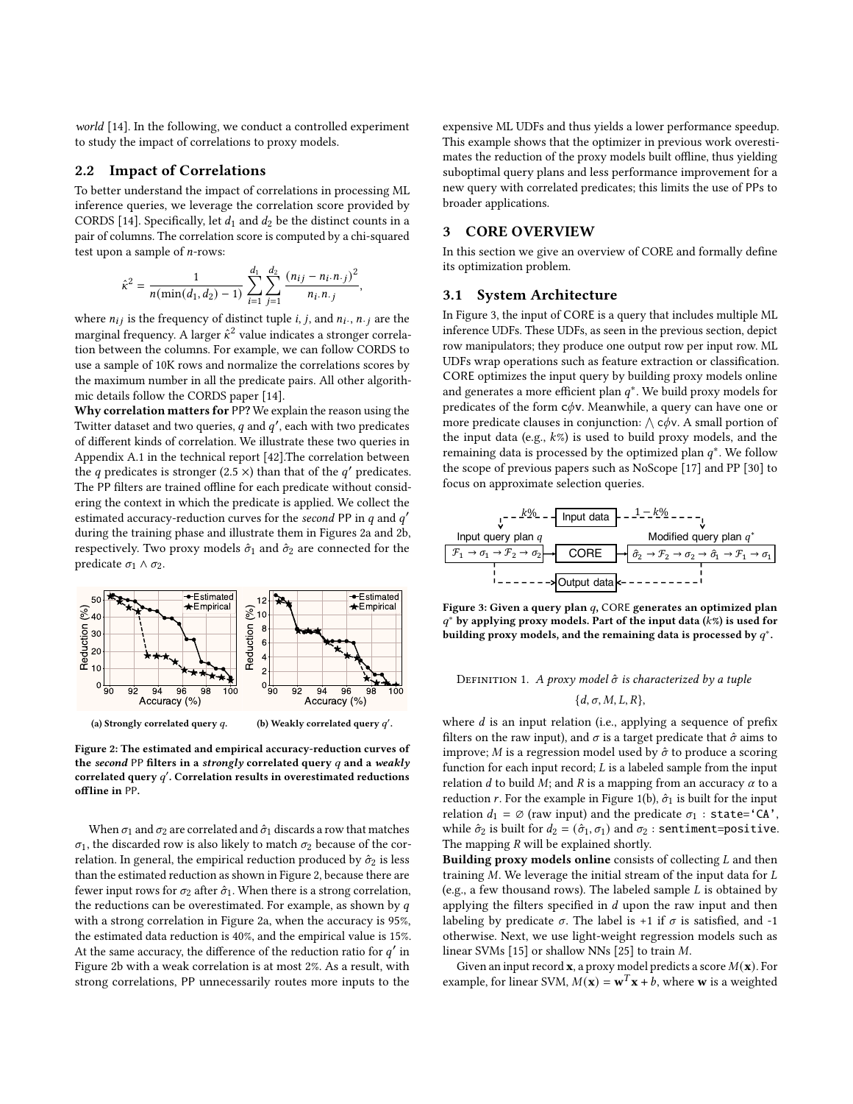world [\[14\]](#page-12-27). In the following, we conduct a controlled experiment to study the impact of correlations to proxy models.

#### <span id="page-2-0"></span>2.2 Impact of Correlations

To better understand the impact of correlations in processing ML inference queries, we leverage the correlation score provided by CORDS [\[14\]](#page-12-27). Specifically, let  $d_1$  and  $d_2$  be the distinct counts in a pair of columns. The correlation score is computed by a chi-squared test upon a sample of  $n$ -rows:

$$
\hat{\kappa}^2 = \frac{1}{n(\min(d_1,d_2)-1)}\sum_{i=1}^{d_1}\sum_{j=1}^{d_2}\frac{(n_{ij}-n_i.n_{\cdot j})^2}{n_i.n_{\cdot j}},
$$

where  $n_{ij}$  is the frequency of distinct tuple *i*, *j*, and  $n_i$ ., *n*.<sub>*j*</sub> are the marginal frequency. A larger  $\hat{\kappa}^2$  value indicates a stronger correlation between the columns. For example, we can follow CORDS to use a sample of 10K rows and normalize the correlations scores by the maximum number in all the predicate pairs. All other algorithmic details follow the CORDS paper [\[14\]](#page-12-27).

Why correlation matters for PP? We explain the reason using the Twitter dataset and two queries,  $q$  and  $q'$ , each with two predicates of different kinds of correlation. We illustrate these two queries in Appendix A.1 in the technical report [\[42\]](#page-12-28).The correlation between the q predicates is stronger (2.5  $\times$ ) than that of the q' predicates. The PP filters are trained offline for each predicate without considering the context in which the predicate is applied. We collect the estimated accuracy-reduction curves for the second PP in  $q$  and  $q'$ during the training phase and illustrate them in [Figures 2a](#page-2-1) and [2b,](#page-2-1) respectively. Two proxy models  $\hat{\sigma}_1$  and  $\hat{\sigma}_2$  are connected for the predicate  $\sigma_1 \wedge \sigma_2$ .

<span id="page-2-1"></span>

Figure 2: The estimated and empirical accuracy-reduction curves of the second PP filters in a strongly correlated query  $q$  and a weakly correlated query  $q'$ . Correlation results in overestimated reductions offline in PP.

When  $\sigma_1$  and  $\sigma_2$  are correlated and  $\hat{\sigma}_1$  discards a row that matches  $\sigma_1$ , the discarded row is also likely to match  $\sigma_2$  because of the correlation. In general, the empirical reduction produced by  $\hat{\sigma}_2$  is less than the estimated reduction as shown in Figure [2,](#page-2-1) because there are fewer input rows for  $\sigma_2$  after  $\hat{\sigma}_1$ . When there is a strong correlation, the reductions can be overestimated. For example, as shown by  $q$ with a strong correlation in Figure [2a,](#page-2-1) when the accuracy is 95%, the estimated data reduction is 40%, and the empirical value is 15%. At the same accuracy, the difference of the reduction ratio for  $q'$  in Figure [2b](#page-2-1) with a weak correlation is at most 2%. As a result, with strong correlations, PP unnecessarily routes more inputs to the

expensive ML UDFs and thus yields a lower performance speedup. This example shows that the optimizer in previous work overestimates the reduction of the proxy models built offline, thus yielding suboptimal query plans and less performance improvement for a new query with correlated predicates; this limits the use of PPs to broader applications.

# <span id="page-2-3"></span>3 CORE OVERVIEW

In this section we give an overview of CORE and formally define its optimization problem.

#### 3.1 System Architecture

In Figure [3,](#page-2-2) the input of CORE is a query that includes multiple ML inference UDFs. These UDFs, as seen in the previous section, depict row manipulators; they produce one output row per input row. ML UDFs wrap operations such as feature extraction or classification. CORE optimizes the input query by building proxy models online and generates a more efficient plan  $a^*$ . We build proxy models for predicates of the form  $c\phi v$ . Meanwhile, a query can have one or more predicate clauses in conjunction:  $\wedge$  c $\phi$ v. A small portion of the input data (e.g.,  $k\%$ ) is used to build proxy models, and the remaining data is processed by the optimized plan  $a^*$ . We follow the scope of previous papers such as NoScope [\[17\]](#page-12-6) and PP [\[30\]](#page-12-8) to focus on approximate selection queries.

<span id="page-2-2"></span>



# <span id="page-2-4"></span>DEFINITION 1. A proxy model  $\hat{\sigma}$  is characterized by a tuple

$$
\{d,\sigma,M,L,R\},\
$$

where  $d$  is an input relation (i.e., applying a sequence of prefix filters on the raw input), and  $\sigma$  is a target predicate that  $\hat{\sigma}$  aims to improve;  $M$  is a regression model used by  $\hat{\sigma}$  to produce a scoring function for each input record;  $L$  is a labeled sample from the input relation  $d$  to build  $M$ ; and  $R$  is a mapping from an accuracy  $\alpha$  to a reduction r. For the example in Figure [1\(](#page-0-0)b),  $\hat{\sigma}_1$  is built for the input relation  $d_1 = \emptyset$  (raw input) and the predicate  $\sigma_1$  : state='CA', while  $\hat{\sigma}_2$  is built for  $d_2 = (\hat{\sigma}_1, \sigma_1)$  and  $\sigma_2$ : sentiment=positive. The mapping  $R$  will be explained shortly.

Building proxy models online consists of collecting  $L$  and then training  $M$ . We leverage the initial stream of the input data for  $L$ (e.g., a few thousand rows). The labeled sample  $L$  is obtained by applying the filters specified in  $d$  upon the raw input and then labeling by predicate  $\sigma$ . The label is +1 if  $\sigma$  is satisfied, and -1 otherwise. Next, we use light-weight regression models such as linear SVMs  $[15]$  or shallow NNs  $[25]$  to train M.

Given an input record **x**, a proxy model predicts a score  $M(\mathbf{x})$ . For example, for linear SVM,  $M(\mathbf{x}) = \mathbf{w}^T \mathbf{x} + b$ , where **w** is a weighted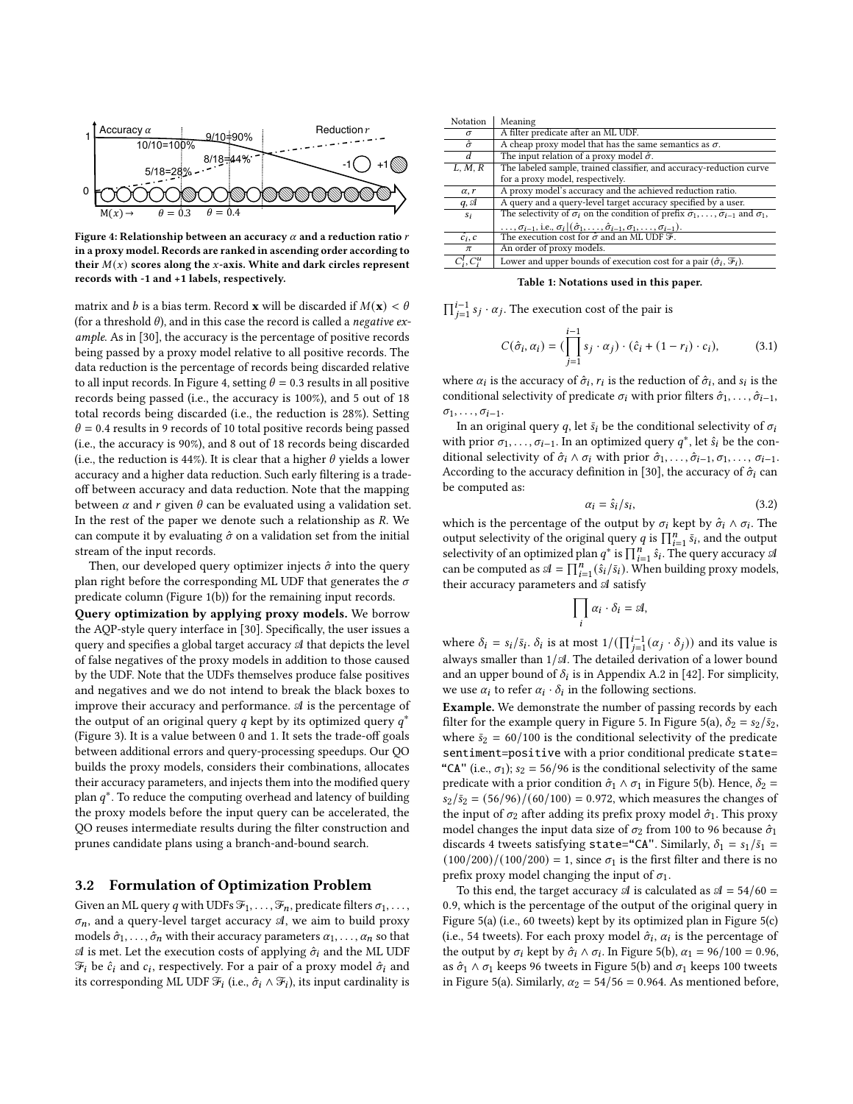<span id="page-3-0"></span>

Figure 4: Relationship between an accuracy  $\alpha$  and a reduction ratio  $r$ in a proxy model. Records are ranked in ascending order according to their  $M(x)$  scores along the x-axis. White and dark circles represent records with -1 and +1 labels, respectively.

matrix and *b* is a bias term. Record **x** will be discarded if  $M(\mathbf{x}) < \theta$ (for a threshold  $\theta$ ), and in this case the record is called a *negative ex*ample. As in [\[30\]](#page-12-8), the accuracy is the percentage of positive records being passed by a proxy model relative to all positive records. The data reduction is the percentage of records being discarded relative to all input records. In Figure [4,](#page-3-0) setting  $\theta = 0.3$  results in all positive records being passed (i.e., the accuracy is 100%), and 5 out of 18 total records being discarded (i.e., the reduction is 28%). Setting  $\theta$  = 0.4 results in 9 records of 10 total positive records being passed (i.e., the accuracy is 90%), and 8 out of 18 records being discarded (i.e., the reduction is 44%). It is clear that a higher  $\theta$  yields a lower accuracy and a higher data reduction. Such early filtering is a tradeoff between accuracy and data reduction. Note that the mapping between  $\alpha$  and  $r$  given  $\theta$  can be evaluated using a validation set. In the rest of the paper we denote such a relationship as  $R$ . We can compute it by evaluating  $\hat{\sigma}$  on a validation set from the initial stream of the input records.

Then, our developed query optimizer injects  $\hat{\sigma}$  into the query plan right before the corresponding ML UDF that generates the  $\sigma$ predicate column (Figure [1\(](#page-0-0)b)) for the remaining input records.

Query optimization by applying proxy models. We borrow the AQP-style query interface in [\[30\]](#page-12-8). Specifically, the user issues a query and specifies a global target accuracy  $A$  that depicts the level of false negatives of the proxy models in addition to those caused by the UDF. Note that the UDFs themselves produce false positives and negatives and we do not intend to break the black boxes to improve their accuracy and performance.  $A$  is the percentage of the output of an original query *a* kept by its optimized query  $a^*$ (Figure [3\)](#page-2-2). It is a value between 0 and 1. It sets the trade-off goals between additional errors and query-processing speedups. Our QO builds the proxy models, considers their combinations, allocates their accuracy parameters, and injects them into the modified query plan  $a^*$ . To reduce the computing overhead and latency of building the proxy models before the input query can be accelerated, the QO reuses intermediate results during the filter construction and prunes candidate plans using a branch-and-bound search.

#### 3.2 Formulation of Optimization Problem

Given an ML query q with UDFs  $\mathcal{F}_1, \ldots, \mathcal{F}_n$ , predicate filters  $\sigma_1, \ldots,$  $\sigma_n$ , and a query-level target accuracy  $\mathcal A$ , we aim to build proxy models  $\hat{\sigma}_1, \ldots, \hat{\sigma}_n$  with their accuracy parameters  $\alpha_1, \ldots, \alpha_n$  so that  $\mathcal A$  is met. Let the execution costs of applying  $\hat \sigma_i$  and the ML UDF  $\mathcal{F}_i$  be  $\hat{c}_i$  and  $c_i$ , respectively. For a pair of a proxy model  $\hat{\sigma}_i$  and its corresponding ML UDF  $\mathcal{F}_i$  (i.e.,  $\hat{\sigma}_i \wedge \mathcal{F}_i$ ), its input cardinality is

<span id="page-3-1"></span>

| Notation             | Meaning                                                                                                                                                                                      |
|----------------------|----------------------------------------------------------------------------------------------------------------------------------------------------------------------------------------------|
| σ                    | A filter predicate after an ML UDF.                                                                                                                                                          |
| $\hat{\sigma}$       | A cheap proxy model that has the same semantics as $\sigma$ .                                                                                                                                |
| d                    | The input relation of a proxy model $\hat{\sigma}$ .                                                                                                                                         |
| $\overline{L, M, R}$ | The labeled sample, trained classifier, and accuracy-reduction curve                                                                                                                         |
|                      | for a proxy model, respectively.                                                                                                                                                             |
| $\alpha$ , r         | A proxy model's accuracy and the achieved reduction ratio.                                                                                                                                   |
| $q, \mathcal{A}$     | A query and a query-level target accuracy specified by a user.                                                                                                                               |
| Si                   | The selectivity of $\sigma_i$ on the condition of prefix $\hat{\sigma}_1, \ldots, \hat{\sigma}_{i-1}$ and $\sigma_1$ ,                                                                       |
|                      | , $\sigma_{i-1}$ , i.e., $\sigma_i$ $ (\hat{\sigma}_1, \ldots, \hat{\sigma}_{i-1}, \sigma_1, \ldots, \sigma_{i-1})$ .<br>The execution cost for $\hat{\sigma}$ and an ML UDF $\mathcal{F}$ . |
| $\hat{c_i}, c$       |                                                                                                                                                                                              |
| $\pi$                | An order of proxy models.                                                                                                                                                                    |
| $C_i^i, C_i^u$       | Lower and upper bounds of execution cost for a pair $(\hat{\sigma}_i, \mathcal{F}_i)$ .                                                                                                      |

Table 1: Notations used in this paper.

 $\prod_{j=1}^{i-1}$  s<sub>j</sub> ⋅ α<sub>j</sub>. The execution cost of the pair is

<span id="page-3-2"></span>
$$
C(\hat{\sigma}_i, \alpha_i) = \left(\prod_{j=1}^{i-1} s_j \cdot \alpha_j\right) \cdot (\hat{c}_i + (1 - r_i) \cdot c_i),\tag{3.1}
$$

where  $\alpha_i$  is the accuracy of  $\hat{\sigma}_i$ ,  $r_i$  is the reduction of  $\hat{\sigma}_i$ , and  $s_i$  is the conditional selectivity of predicate  $\sigma_i$  with prior filters  $\hat{\sigma}_1, \ldots, \hat{\sigma}_{i-1}$ ,  $\sigma_1, \ldots, \sigma_{i-1}.$ 

In an original query q, let  $\bar{s}_i$  be the conditional selectivity of  $\sigma_i$ with prior  $\sigma_1, \ldots, \sigma_{i-1}$ . In an optimized query  $q^*$ , let  $\hat{s}_i$  be the conditional selectivity of  $\hat{\sigma}_i \wedge \sigma_i$  with prior  $\hat{\sigma}_1, \ldots, \hat{\sigma}_{i-1}, \sigma_1, \ldots, \sigma_{i-1}$ . According to the accuracy definition in [\[30\]](#page-12-8), the accuracy of  $\hat{\sigma}_i$  can be computed as:

 $\alpha_i$ 

$$
=\hat{s}_i/s_i,\tag{3.2}
$$

which is the percentage of the output by  $\sigma_i$  kept by  $\hat{\sigma}_i \wedge \sigma_i$ . The output selectivity of the original query *q* is  $\prod_{i=1}^{n} \overline{s}_i$ , and the output selectivity of an optimized plan  $q^*$  is  $\prod_{i=1}^n \hat{s}_i$ . The query accuracy  $\mathcal A$ can be computed as  $\mathcal{A} = \prod_{i=1}^{n} (\hat{s}_i/\bar{s}_i)$ . When building proxy models, their accuracy parameters and  $A$  satisfy

$$
\prod_i \alpha_i \cdot \delta_i = \mathcal{A},
$$

where  $\delta_i = s_i/\bar{s}_i$ .  $\delta_i$  is at most  $1/(\prod_{j=1}^{i-1} (\alpha_j \cdot \delta_j))$  and its value is always smaller than  $1/\mathcal{A}$ . The detailed derivation of a lower bound and an upper bound of  $\delta_i$  is in Appendix A.2 in [\[42\]](#page-12-28). For simplicity, we use  $\alpha_i$  to refer  $\alpha_i \cdot \delta_i$  in the following sections.

Example. We demonstrate the number of passing records by each filter for the example query in Figure [5.](#page-4-0) In Figure [5\(](#page-4-0)a),  $\delta_2 = s_2/\bar{s}_2$ , where  $\bar{s}_2$  = 60/100 is the conditional selectivity of the predicate sentiment=positive with a prior conditional predicate state= "CA" (i.e.,  $\sigma_1$ );  $s_2 = 56/96$  is the conditional selectivity of the same predicate with a prior condition  $\hat{\sigma}_1 \wedge \sigma_1$  in Figure [5\(](#page-4-0)b). Hence,  $\delta_2$  =  $s_2/\bar{s}_2 = (56/96)/(60/100) = 0.972$ , which measures the changes of the input of  $\sigma_2$  after adding its prefix proxy model  $\hat{\sigma}_1$ . This proxy model changes the input data size of  $\sigma_2$  from 100 to 96 because  $\hat{\sigma}_1$ discards 4 tweets satisfying state="CA". Similarly,  $\delta_1 = s_1/\bar{s}_1$  =  $(100/200)/(100/200) = 1$ , since  $\sigma_1$  is the first filter and there is no prefix proxy model changing the input of  $\sigma_1$ .

To this end, the target accuracy  $\mathcal A$  is calculated as  $\mathcal A = 54/60 =$ 0.9, which is the percentage of the output of the original query in Figure [5\(](#page-4-0)a) (i.e., 60 tweets) kept by its optimized plan in Figure [5\(](#page-4-0)c) (i.e., 54 tweets). For each proxy model  $\hat{\sigma}_i$ ,  $\alpha_i$  is the percentage of the output by  $\sigma_i$  kept by  $\hat{\sigma_i} \wedge \sigma_i$ . In Figure [5\(](#page-4-0)b),  $\alpha_1 = 96/100 = 0.96$ , as  $\hat{\sigma}_1 \wedge \sigma_1$  keeps 96 tweets in Figure [5\(](#page-4-0)b) and  $\sigma_1$  keeps 100 tweets in Figure [5\(](#page-4-0)a). Similarly,  $\alpha_2 = 54/56 = 0.964$ . As mentioned before,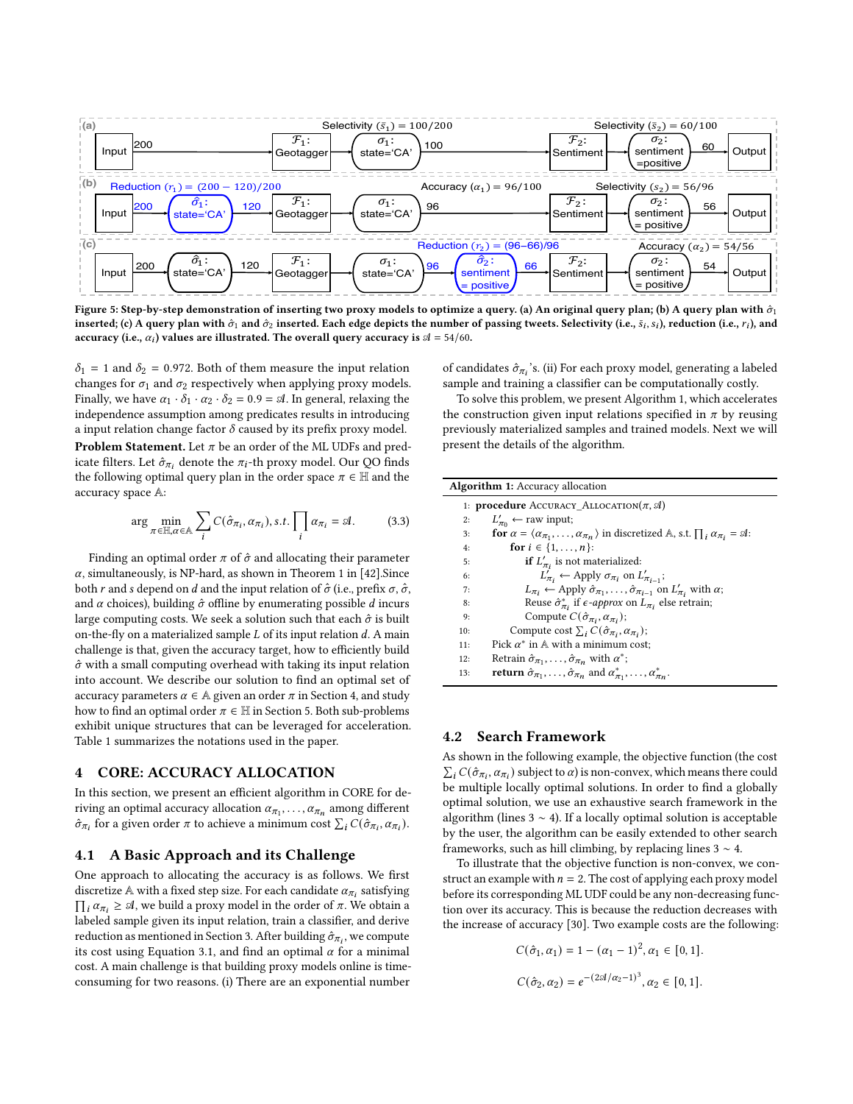<span id="page-4-0"></span>

Figure 5: Step-by-step demonstration of inserting two proxy models to optimize a query. (a) An original query plan; (b) A query plan with  $\hat{\sigma}_1$ inserted; (c) A query plan with  $\hat{\sigma}_1$  and  $\hat{\sigma}_2$  inserted. Each edge depicts the number of passing tweets. Selectivity (i.e.,  $\bar{s}_i$ ,  $s_i$ ), reduction (i.e.,  $r_i$ ), and accuracy (i.e.,  $\alpha_i$ ) values are illustrated. The overall query accuracy is  $\mathcal{A} = 54/60$ .

 $\delta_1$  = 1 and  $\delta_2$  = 0.972. Both of them measure the input relation changes for  $\sigma_1$  and  $\sigma_2$  respectively when applying proxy models. Finally, we have  $\alpha_1 \cdot \delta_1 \cdot \alpha_2 \cdot \delta_2 = 0.9 = \mathcal{A}$ . In general, relaxing the independence assumption among predicates results in introducing a input relation change factor  $\delta$  caused by its prefix proxy model. **Problem Statement.** Let  $\pi$  be an order of the ML UDFs and predicate filters. Let  $\hat{\sigma}_{\pi_i}$  denote the  $\pi_i$ -th proxy model. Our QO finds the following optimal query plan in the order space  $\pi \in \mathbb{H}$  and the accuracy space A:

<span id="page-4-11"></span>
$$
\arg\min_{\pi \in \mathbb{H}, \alpha \in \mathbb{A}} \sum_{i} C(\hat{\sigma}_{\pi_i}, \alpha_{\pi_i}), s.t. \prod_{i} \alpha_{\pi_i} = \mathfrak{A}.
$$
 (3.3)

Finding an optimal order  $\pi$  of  $\hat{\sigma}$  and allocating their parameter  $\alpha$ , simultaneously, is NP-hard, as shown in Theorem 1 in [\[42\]](#page-12-28). Since both r and s depend on d and the input relation of  $\hat{\sigma}$  (i.e., prefix  $\sigma$ ,  $\hat{\sigma}$ , and  $\alpha$  choices), building  $\hat{\sigma}$  offline by enumerating possible  $d$  incurs large computing costs. We seek a solution such that each  $\hat{\sigma}$  is built on-the-fly on a materialized sample  $L$  of its input relation  $d$ . A main challenge is that, given the accuracy target, how to efficiently build  $\hat{\sigma}$  with a small computing overhead with taking its input relation into account. We describe our solution to find an optimal set of accuracy parameters  $\alpha \in A$  given an order  $\pi$  in Section [4,](#page-4-1) and study how to find an optimal order  $\pi \in \mathbb{H}$  in Section [5.](#page-6-0) Both sub-problems exhibit unique structures that can be leveraged for acceleration. Table [1](#page-3-1) summarizes the notations used in the paper.

# <span id="page-4-1"></span>4 CORE: ACCURACY ALLOCATION

In this section, we present an efficient algorithm in CORE for deriving an optimal accuracy allocation  $\alpha_{\pi_1}, \ldots, \alpha_{\pi_n}$  among different  $\hat{\sigma}_{\pi_i}$  for a given order  $\pi$  to achieve a minimum cost  $\sum_i C(\hat{\sigma}_{\pi_i}, \alpha_{\pi_i}).$ 

#### 4.1 A Basic Approach and its Challenge

One approach to allocating the accuracy is as follows. We first discretize  $\mathbb A$  with a fixed step size. For each candidate  $\alpha_{\pi_i}$  satisfying  $\prod_i \alpha_{\pi_i} \geq \mathcal{A}$ , we build a proxy model in the order of  $\pi$ . We obtain a labeled sample given its input relation, train a classifier, and derive reduction as mentioned in Section [3.](#page-2-3) After building  $\hat{\sigma}_{\pi_i}$ , we compute its cost using Equation [3.1,](#page-3-2) and find an optimal  $\alpha$  for a minimal cost. A main challenge is that building proxy models online is timeconsuming for two reasons. (i) There are an exponential number of candidates  $\hat{\sigma}_{\pi_i}$ 's. (ii) For each proxy model, generating a labeled sample and training a classifier can be computationally costly.

To solve this problem, we present Algorithm [1,](#page-4-2) which accelerates the construction given input relations specified in  $\pi$  by reusing previously materialized samples and trained models. Next we will present the details of the algorithm.

<span id="page-4-9"></span><span id="page-4-7"></span><span id="page-4-6"></span><span id="page-4-5"></span><span id="page-4-4"></span><span id="page-4-3"></span><span id="page-4-2"></span>

| <b>Algorithm 1:</b> Accuracy allocation |                                                                                                                                               |  |  |  |  |
|-----------------------------------------|-----------------------------------------------------------------------------------------------------------------------------------------------|--|--|--|--|
|                                         | 1: <b>procedure</b> ACCURACY_ALLOCATION( $\pi$ , $\mathcal{A}$ )                                                                              |  |  |  |  |
| 2:                                      | $L'_{\pi_0} \leftarrow$ raw input;                                                                                                            |  |  |  |  |
| 3:                                      | <b>for</b> $\alpha = \langle \alpha_{\pi_1}, \ldots, \alpha_{\pi_n} \rangle$ in discretized A, s.t. $\prod_i \alpha_{\pi_i} = \mathfrak{A}$ : |  |  |  |  |
| 4:                                      | for $i \in \{1, , n\}$ :                                                                                                                      |  |  |  |  |
| 5:                                      | <b>if</b> $L'_{\pi_i}$ is not materialized:                                                                                                   |  |  |  |  |
| 6:                                      | $L'_{\pi_i} \leftarrow$ Apply $\sigma_{\pi_i}$ on $L'_{\pi_{i-1}}$ ;                                                                          |  |  |  |  |
| 7:                                      | $L_{\pi_i} \leftarrow$ Apply $\hat{\sigma}_{\pi_1}, \ldots, \hat{\sigma}_{\pi_{i-1}}$ on $L'_{\pi_i}$ with $\alpha$ ;                         |  |  |  |  |
| 8:                                      | Reuse $\hat{\sigma}_{\pi_i}^*$ if $\epsilon$ -approx on $L_{\pi_i}$ else retrain;                                                             |  |  |  |  |
| 9:                                      | Compute $C(\hat{\sigma}_{\pi_i}, \alpha_{\pi_i});$                                                                                            |  |  |  |  |
| 10:                                     | Compute cost $\sum_i C(\hat{\sigma}_{\pi_i}, \alpha_{\pi_i});$                                                                                |  |  |  |  |
| 11:                                     | Pick $\alpha^*$ in A with a minimum cost;                                                                                                     |  |  |  |  |
| 12:                                     | Retrain $\hat{\sigma}_{\pi_1}, \ldots, \hat{\sigma}_{\pi_n}$ with $\alpha^*$ ;                                                                |  |  |  |  |
| 13:                                     | <b>return</b> $\hat{\sigma}_{\pi_1}, \ldots, \hat{\sigma}_{\pi_n}$ and $\alpha^*_{\pi_1}, \ldots, \alpha^*_{\pi_n}$ .                         |  |  |  |  |

#### <span id="page-4-10"></span><span id="page-4-8"></span>4.2 Search Framework

As shown in the following example, the objective function (the cost  $\sum_i C(\hat{\sigma}_{\pi_i}, \alpha_{\pi_i})$  subject to  $\alpha$ ) is non-convex, which means there could be multiple locally optimal solutions. In order to find a globally optimal solution, we use an exhaustive search framework in the algorithm (lines  $3 \sim 4$  $3 \sim 4$ ). If a locally optimal solution is acceptable by the user, the algorithm can be easily extended to other search frameworks, such as hill climbing, by replacing lines  $3 \sim 4$  $3 \sim 4$ .

To illustrate that the objective function is non-convex, we construct an example with  $n = 2$ . The cost of applying each proxy model before its corresponding ML UDF could be any non-decreasing function over its accuracy. This is because the reduction decreases with the increase of accuracy [\[30\]](#page-12-8). Two example costs are the following:

$$
C(\hat{\sigma}_1, \alpha_1) = 1 - (\alpha_1 - 1)^2, \alpha_1 \in [0, 1].
$$
  

$$
C(\hat{\sigma}_2, \alpha_2) = e^{-(2\mathcal{A}/\alpha_2 - 1)^3}, \alpha_2 \in [0, 1].
$$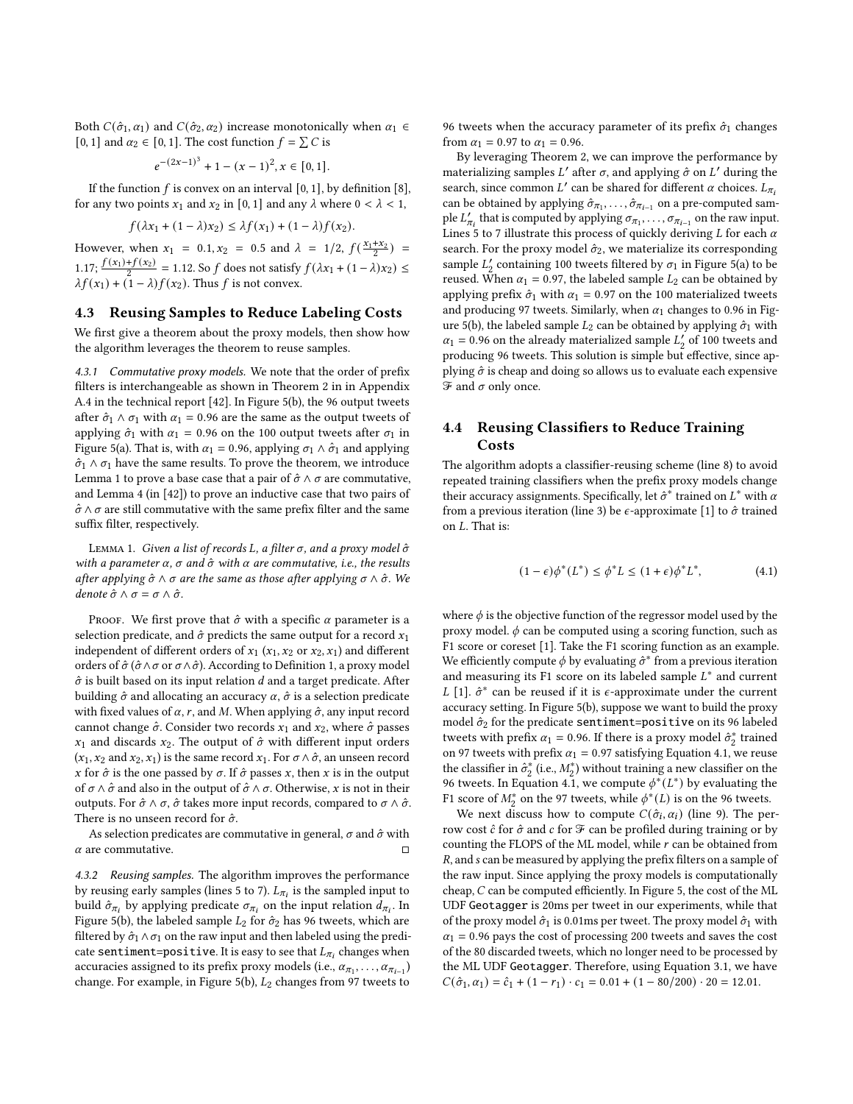Both  $C(\hat{\sigma}_1, \alpha_1)$  and  $C(\hat{\sigma}_2, \alpha_2)$  increase monotonically when  $\alpha_1 \in$ [0, 1] and  $\alpha_2 \in [0, 1]$ . The cost function  $f = \sum C$  is

$$
e^{-(2x-1)^3} + 1 - (x-1)^2, x \in [0,1].
$$

If the function  $f$  is convex on an interval [0, 1], by definition [\[8\]](#page-12-31), for any two points  $x_1$  and  $x_2$  in [0, 1] and any  $\lambda$  where  $0 < \lambda < 1$ ,

$$
f(\lambda x_1 + (1 - \lambda)x_2) \leq \lambda f(x_1) + (1 - \lambda)f(x_2).
$$

However, when  $x_1 = 0.1, x_2 = 0.5$  and  $\lambda = 1/2, f(\frac{x_1 + x_2}{2}) =$ 1.17;  $\frac{f(x_1)+f(x_2)}{2}$  = 1.12. So f does not satisfy  $f(\lambda x_1 + (1 - \lambda)x_2)$  ≤  $\lambda f(x_1) + (1 - \lambda) f(x_2)$ . Thus f is not convex.

# 4.3 Reusing Samples to Reduce Labeling Costs

We first give a theorem about the proxy models, then show how the algorithm leverages the theorem to reuse samples.

4.3.1 Commutative proxy models. We note that the order of prefix filters is interchangeable as shown in Theorem 2 in in Appendix A.4 in the technical report [\[42\]](#page-12-28). In Figure [5\(](#page-4-0)b), the 96 output tweets after  $\hat{\sigma}_1 \wedge \sigma_1$  with  $\alpha_1 = 0.96$  are the same as the output tweets of applying  $\hat{\sigma}_1$  with  $\alpha_1 = 0.96$  on the 100 output tweets after  $\sigma_1$  in Figure [5\(](#page-4-0)a). That is, with  $\alpha_1 = 0.96$ , applying  $\sigma_1 \wedge \hat{\sigma}_1$  and applying  $\hat{\sigma}_1 \wedge \sigma_1$  have the same results. To prove the theorem, we introduce Lemma [1](#page-5-0) to prove a base case that a pair of  $\hat{\sigma} \wedge \sigma$  are commutative, and Lemma 4 (in [\[42\]](#page-12-28)) to prove an inductive case that two pairs of  $\hat{\sigma} \wedge \sigma$  are still commutative with the same prefix filter and the same suffix filter, respectively.

<span id="page-5-0"></span>LEMMA 1. Given a list of records L, a filter  $\sigma$ , and a proxy model  $\hat{\sigma}$ with a parameter  $\alpha$ ,  $\sigma$  and  $\hat{\sigma}$  with  $\alpha$  are commutative, i.e., the results after applying  $\hat{\sigma} \wedge \sigma$  are the same as those after applying  $\sigma \wedge \hat{\sigma}$ . We denote  $\hat{\sigma} \wedge \sigma = \sigma \wedge \hat{\sigma}$ .

PROOF. We first prove that  $\hat{\sigma}$  with a specific  $\alpha$  parameter is a selection predicate, and  $\hat{\sigma}$  predicts the same output for a record  $x_1$ independent of different orders of  $x_1$  ( $x_1$ ,  $x_2$  or  $x_2$ ,  $x_1$ ) and different orders of  $\hat{\sigma}$  ( $\hat{\sigma} \wedge \sigma$  or  $\sigma \wedge \hat{\sigma}$ ). According to Definition [1,](#page-2-4) a proxy model  $\hat{\sigma}$  is built based on its input relation  $d$  and a target predicate. After building  $\hat{\sigma}$  and allocating an accuracy  $\alpha$ ,  $\hat{\sigma}$  is a selection predicate with fixed values of  $\alpha$ , r, and M. When applying  $\hat{\sigma}$ , any input record cannot change  $\hat{\sigma}$ . Consider two records  $x_1$  and  $x_2$ , where  $\hat{\sigma}$  passes  $x_1$  and discards  $x_2$ . The output of  $\hat{\sigma}$  with different input orders  $(x_1, x_2 \text{ and } x_2, x_1)$  is the same record  $x_1$ . For  $\sigma \wedge \hat{\sigma}$ , an unseen record x for  $\hat{\sigma}$  is the one passed by  $\sigma$ . If  $\hat{\sigma}$  passes x, then x is in the output of  $\sigma \wedge \hat{\sigma}$  and also in the output of  $\hat{\sigma} \wedge \sigma$ . Otherwise, x is not in their outputs. For  $\hat{\sigma} \wedge \sigma$ ,  $\hat{\sigma}$  takes more input records, compared to  $\sigma \wedge \hat{\sigma}$ . There is no unseen record for  $\hat{\sigma}$ .

As selection predicates are commutative in general,  $\sigma$  and  $\hat{\sigma}$  with  $\alpha$  are commutative.  $\square$ 

4.3.2 Reusing samples. The algorithm improves the performance by reusing early samples (lines [5](#page-4-5) to [7\)](#page-4-6).  $L_{\pi_i}$  is the sampled input to build  $\hat{\sigma}_{\pi_i}$  by applying predicate  $\sigma_{\pi_i}$  on the input relation  $\hat{d}_{\pi_i}$ . In Figure [5\(](#page-4-0)b), the labeled sample  $L_2$  for  $\hat{\sigma}_2$  has 96 tweets, which are filtered by  $\hat{\sigma}_1 \wedge \sigma_1$  on the raw input and then labeled using the predicate sentiment=positive. It is easy to see that  $L_{\pi_i}$  changes when accuracies assigned to its prefix proxy models (i.e.,  $\alpha_{\pi_1}, \ldots, \alpha_{\pi_{i-1}}$ ) change. For example, in Figure [5\(](#page-4-0)b),  $L_2$  changes from 97 tweets to 96 tweets when the accuracy parameter of its prefix  $\hat{\sigma}_1$  changes from  $\alpha_1 = 0.97$  to  $\alpha_1 = 0.96$ .

By leveraging Theorem 2, we can improve the performance by materializing samples L' after  $\sigma$ , and applying  $\hat{\sigma}$  on L' during the search, since common L' can be shared for different  $\alpha$  choices.  $L_{\pi_i}$ can be obtained by applying  $\hat{\sigma}_{\pi_1}, \ldots, \hat{\sigma}_{\pi_{i-1}}$  on a pre-computed sample  $L'_{\pi_i}$  that is computed by applying  $\sigma_{\pi_1}, \ldots, \sigma_{\pi_{i-1}}$  on the raw input. Lines [5](#page-4-5) to [7](#page-4-6) illustrate this process of quickly deriving  $L$  for each  $\alpha$ search. For the proxy model  $\hat{\sigma}_2$ , we materialize its corresponding sample  $L'_2$  containing 100 tweets filtered by  $\sigma_1$  in Figure [5\(](#page-4-0)a) to be reused. When  $\alpha_1 = 0.97$ , the labeled sample  $L_2$  can be obtained by applying prefix  $\hat{\sigma}_1$  with  $\alpha_1 = 0.97$  on the 100 materialized tweets and producing 97 tweets. Similarly, when  $\alpha_1$  changes to 0.96 in Fig-ure [5\(](#page-4-0)b), the labeled sample  $L_2$  can be obtained by applying  $\hat{\sigma}_1$  with  $\alpha_1$  = 0.96 on the already materialized sample  $L'_2$  of 100 tweets and producing 96 tweets. This solution is simple but effective, since applying  $\hat{\sigma}$  is cheap and doing so allows us to evaluate each expensive  $\mathcal F$  and  $\sigma$  only once.

# 4.4 Reusing Classifiers to Reduce Training **Costs**

The algorithm adopts a classifier-reusing scheme (line [8\)](#page-4-7) to avoid repeated training classifiers when the prefix proxy models change their accuracy assignments. Specifically, let  $\hat{\sigma}^*$  trained on  $L^*$  with  $\alpha$ from a previous iteration (line [3\)](#page-4-3) be  $\epsilon$ -approximate [\[1\]](#page-12-32) to  $\hat{\sigma}$  trained on  $L$ . That is:

<span id="page-5-1"></span>
$$
(1 - \epsilon)\phi^*(L^*) \le \phi^*L \le (1 + \epsilon)\phi^*L^*,\tag{4.1}
$$

where  $\phi$  is the objective function of the regressor model used by the proxy model.  $\phi$  can be computed using a scoring function, such as F1 score or coreset [\[1\]](#page-12-32). Take the F1 scoring function as an example. We efficiently compute  $\phi$  by evaluating  $\hat{\sigma}^*$  from a previous iteration and measuring its F1 score on its labeled sample  $L^*$  and current L [\[1\]](#page-12-32).  $\hat{\sigma}^*$  can be reused if it is  $\epsilon$ -approximate under the current accuracy setting. In Figure [5\(](#page-4-0)b), suppose we want to build the proxy model  $\hat{\sigma}_2$  for the predicate sentiment=positive on its 96 labeled tweets with prefix  $\alpha_1 = 0.96$ . If there is a proxy model  $\hat{\sigma}_2^*$  trained on 97 tweets with prefix  $\alpha_1 = 0.97$  satisfying Equation [4.1,](#page-5-1) we reuse the classifier in  $\hat{\sigma}_2^*$  (i.e.,  $M_2^*$ ) without training a new classifier on the 96 tweets. In Equation [4.1,](#page-5-1) we compute  $\phi^*(L^*)$  by evaluating the F1 score of  $M_2^*$  on the 97 tweets, while  $\phi^*(L)$  is on the 96 tweets.

We next discuss how to compute  $C(\hat{\sigma}_i, \alpha_i)$  (line [9\)](#page-4-8). The perrow cost  $\hat{c}$  for  $\hat{\sigma}$  and  $c$  for  $\mathcal F$  can be profiled during training or by counting the FLOPS of the ML model, while  $r$  can be obtained from R, and s can be measured by applying the prefix filters on a sample of the raw input. Since applying the proxy models is computationally cheap,  $C$  can be computed efficiently. In Figure [5,](#page-4-0) the cost of the ML UDF Geotagger is 20ms per tweet in our experiments, while that of the proxy model  $\hat{\sigma}_1$  is 0.01ms per tweet. The proxy model  $\hat{\sigma}_1$  with  $\alpha_1$  = 0.96 pays the cost of processing 200 tweets and saves the cost of the 80 discarded tweets, which no longer need to be processed by the ML UDF Geotagger. Therefore, using Equation [3.1,](#page-3-2) we have  $C(\hat{\sigma}_1, \alpha_1) = \hat{c}_1 + (1 - r_1) \cdot c_1 = 0.01 + (1 - 80/200) \cdot 20 = 12.01.$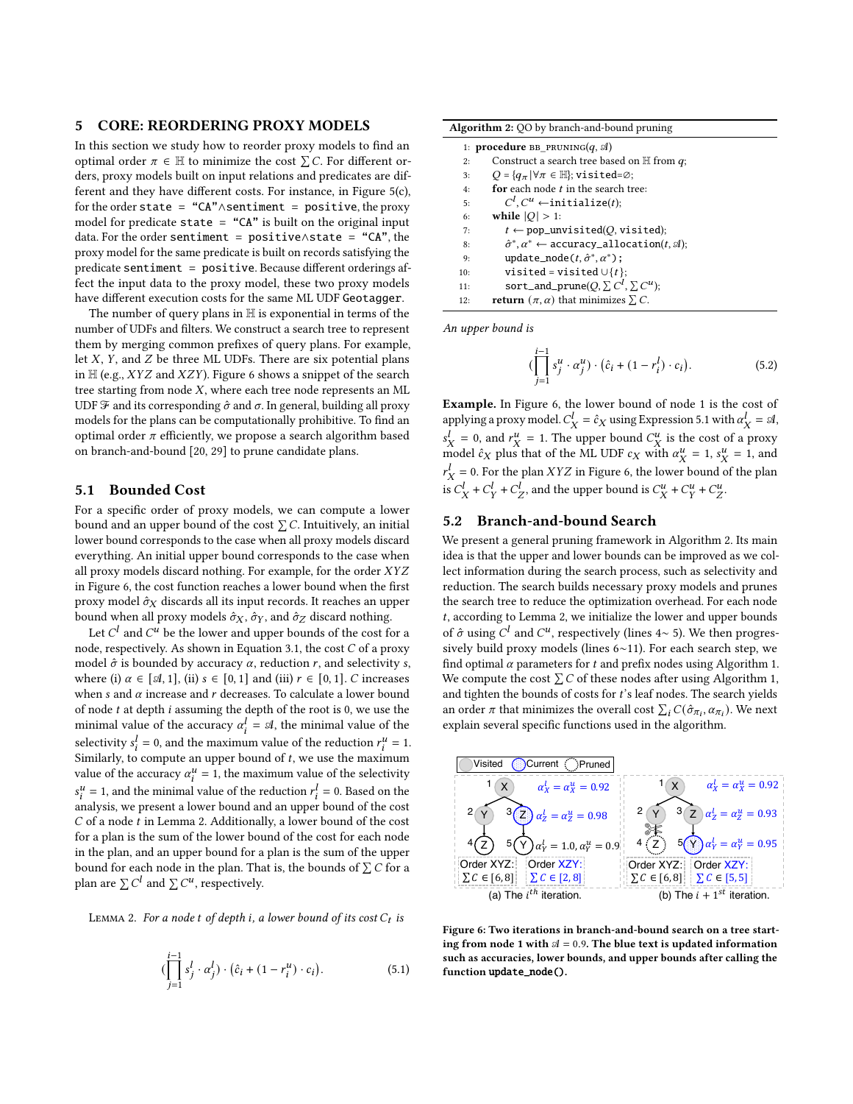#### <span id="page-6-0"></span>5 CORE: REORDERING PROXY MODELS

In this section we study how to reorder proxy models to find an optimal order  $\pi \in \mathbb{H}$  to minimize the cost  $\sum C$ . For different orders, proxy models built on input relations and predicates are different and they have different costs. For instance, in Figure [5\(](#page-4-0)c), for the order state = "CA"∧sentiment = positive, the proxy model for predicate state = "CA" is built on the original input data. For the order sentiment = positive∧state = "CA", the proxy model for the same predicate is built on records satisfying the predicate sentiment = positive. Because different orderings affect the input data to the proxy model, these two proxy models have different execution costs for the same ML UDF Geotagger.

The number of query plans in H is exponential in terms of the number of UDFs and filters. We construct a search tree to represent them by merging common prefixes of query plans. For example, let  $X$ ,  $Y$ , and  $Z$  be three ML UDFs. There are six potential plans in  $H$  (e.g., *XYZ* and *XZY*). Figure [6](#page-6-1) shows a snippet of the search tree starting from node  $X$ , where each tree node represents an ML UDF  $\mathcal F$  and its corresponding  $\hat \sigma$  and  $\sigma$ . In general, building all proxy models for the plans can be computationally prohibitive. To find an optimal order  $\pi$  efficiently, we propose a search algorithm based on branch-and-bound [\[20,](#page-12-33) [29\]](#page-12-34) to prune candidate plans.

# 5.1 Bounded Cost

For a specific order of proxy models, we can compute a lower bound and an upper bound of the cost  $\Sigma$  C. Intuitively, an initial lower bound corresponds to the case when all proxy models discard everything. An initial upper bound corresponds to the case when all proxy models discard nothing. For example, for the order XYZ in Figure [6,](#page-6-1) the cost function reaches a lower bound when the first proxy model  $\hat{\sigma}_X$  discards all its input records. It reaches an upper bound when all proxy models  $\hat{\sigma}_X$ ,  $\hat{\sigma}_Y$ , and  $\hat{\sigma}_Z$  discard nothing.

Let  $C^l$  and  $C^u$  be the lower and upper bounds of the cost for a node, respectively. As shown in Equation [3.1,](#page-3-2) the cost  $C$  of a proxy model  $\hat{\sigma}$  is bounded by accuracy  $\alpha$ , reduction  $r$ , and selectivity s, where (i)  $\alpha \in [\mathcal{A}, 1]$ , (ii)  $s \in [0, 1]$  and (iii)  $r \in [0, 1]$ . C increases when  $s$  and  $\alpha$  increase and  $r$  decreases. To calculate a lower bound of node  $t$  at depth  $i$  assuming the depth of the root is 0, we use the minimal value of the accuracy  $\alpha_i^l = \mathcal{A}$ , the minimal value of the selectivity  $s_i^l = 0$ , and the maximum value of the reduction  $r_i^u = 1$ . Similarly, to compute an upper bound of  $t$ , we use the maximum value of the accuracy  $\alpha_i^u = 1$ , the maximum value of the selectivity  $s_i^u = 1$ , and the minimal value of the reduction  $r_i^l = 0$ . Based on the analysis, we present a lower bound and an upper bound of the cost  $C$  of a node  $t$  in Lemma [2.](#page-6-2) Additionally, a lower bound of the cost for a plan is the sum of the lower bound of the cost for each node in the plan, and an upper bound for a plan is the sum of the upper bound for each node in the plan. That is, the bounds of  $\sum C$  for a plan are  $\sum C^l$  and  $\sum C^u$ , respectively.

<span id="page-6-2"></span>LEMMA 2. For a node t of depth i, a lower bound of its cost  $C_t$  is

<span id="page-6-3"></span>
$$
(\prod_{j=1}^{i-1} s_j^l \cdot \alpha_j^l) \cdot (\hat{c}_i + (1 - r_i^u) \cdot c_i).
$$
 (5.1)

<span id="page-6-4"></span>

|     | 1: <b>procedure</b> BB PRUNING $(q, \mathcal{A})$                             |
|-----|-------------------------------------------------------------------------------|
| 2:  | Construct a search tree based on $H$ from $q$ ;                               |
| 3:  | $Q = \{q_{\pi}   \forall \pi \in \mathbb{H} \}$ ; visited= $\emptyset$ ;      |
| 4:  | for each node t in the search tree:                                           |
| 5:  | $C^l$ , $C^u$ $\leftarrow$ initialize( <i>t</i> );                            |
| 6:  | while $ O  > 1$ :                                                             |
| 7:  | $t \leftarrow$ pop_unvisited( <i>O</i> , visited);                            |
| 8:  | $\hat{\sigma}^*, \alpha^* \leftarrow$ accuracy_allocation(t, $\mathcal{A}$ ); |
| 9:  | update_node(t, $\hat{\sigma}^*, \alpha^*$ );                                  |
| 10: | visited = visited $\cup \{t\}$ ;                                              |
| 11: | sort_and_prune(Q, $\sum C^l$ , $\sum C^{u}$ );                                |
| 12: | <b>return</b> $(\pi, \alpha)$ that minimizes $\Sigma$ . C.                    |

An upper bound is

<span id="page-6-5"></span>
$$
(\prod_{j=1}^{i-1} s_j^u \cdot \alpha_j^u) \cdot (\hat{c}_i + (1 - r_i^l) \cdot c_i).
$$
 (5.2)

Example. In Figure [6,](#page-6-1) the lower bound of node 1 is the cost of applying a proxy model.  $C_X^l = \hat{c}_X$  using Expression [5.1](#page-6-3) with  $\alpha_X^l = \mathfrak{A}$ ,  $s_X^l = 0$ , and  $r_X^u = 1$ . The upper bound  $C_X^u$  is the cost of a proxy model  $\hat{c}_X$  plus that of the ML UDF  $c_X$  with  $\alpha_X^u = 1$ ,  $s_X^u = 1$ , and  $r_X^l = 0$ . For the plan  $XYZ$  in Figure [6,](#page-6-1) the lower bound of the plan is  $C_X^l + C_Y^l + C_Z^l$ , and the upper bound is  $C_X^u + C_Y^u + C_Z^u$ .

# <span id="page-6-6"></span>5.2 Branch-and-bound Search

We present a general pruning framework in Algorithm [2.](#page-6-4) Its main idea is that the upper and lower bounds can be improved as we collect information during the search process, such as selectivity and reduction. The search builds necessary proxy models and prunes the search tree to reduce the optimization overhead. For each node , according to Lemma [2,](#page-6-2) we initialize the lower and upper bounds of  $\hat{\sigma}$  using  $C^l$  and  $C^u$ , respectively (lines [4](#page-4-4)∼ [5\)](#page-4-5). We then progressively build proxy models (lines [6](#page-4-9)∼[11\)](#page-4-10). For each search step, we find optimal  $\alpha$  parameters for  $t$  and prefix nodes using Algorithm [1.](#page-4-2) We compute the cost  $\sum C$  of these nodes after using Algorithm [1,](#page-4-2) and tighten the bounds of costs for  $t$ 's leaf nodes. The search yields an order  $\pi$  that minimizes the overall cost  $\sum_i C(\hat{\sigma}_{\pi_i}, \alpha_{\pi_i})$ . We next explain several specific functions used in the algorithm.

<span id="page-6-1"></span>

Figure 6: Two iterations in branch-and-bound search on a tree starting from node 1 with  $A = 0.9$ . The blue text is updated information such as accuracies, lower bounds, and upper bounds after calling the function update\_node().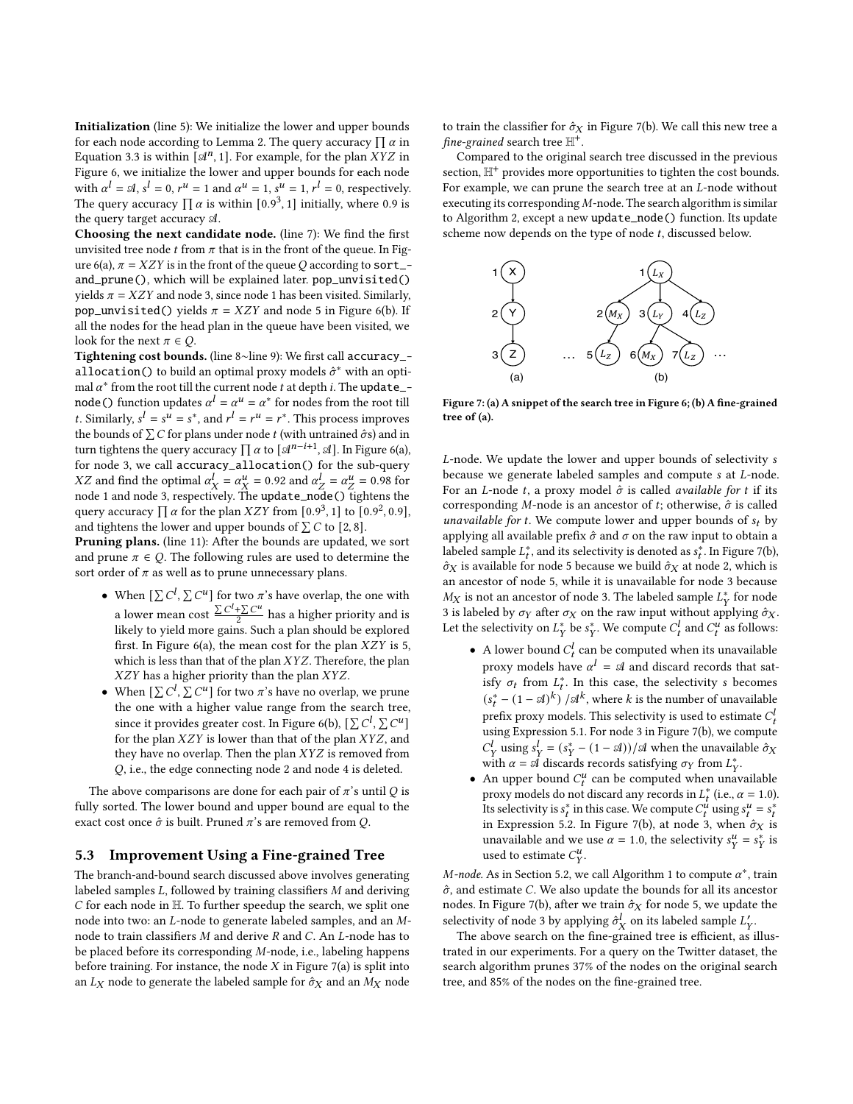Initialization (line [5\)](#page-4-5): We initialize the lower and upper bounds for each node according to Lemma [2.](#page-6-2) The query accuracy  $\prod \alpha$  in Equation [3.3](#page-4-11) is within  $\left[\mathcal{A}^n, 1\right]$ . For example, for the plan XYZ in Figure [6,](#page-6-1) we initialize the lower and upper bounds for each node with  $\alpha^l = \mathcal{A}$ ,  $s^l = 0$ ,  $r^u = 1$  and  $\alpha^u = 1$ ,  $s^u = 1$ ,  $r^l = 0$ , respectively. The query accuracy  $\prod \alpha$  is within [0.9<sup>3</sup>, 1] initially, where 0.9 is the query target accuracy A.

Choosing the next candidate node. (line [7\)](#page-4-6): We find the first unvisited tree node *t* from  $\pi$  that is in the front of the queue. In Fig-ure [6\(](#page-6-1)a),  $\pi = XZY$  is in the front of the queue Q according to sort\_and\_prune(), which will be explained later. pop\_unvisited() yields  $\pi = XZY$  and node 3, since node 1 has been visited. Similarly, pop\_unvisited() yields  $\pi = XZY$  and node 5 in Figure [6\(](#page-6-1)b). If all the nodes for the head plan in the queue have been visited, we look for the next  $\pi \in \mathcal{O}$ .

Tightening cost bounds. (line [8](#page-4-7)∼line [9\)](#page-4-8): We first call accuracy\_ allocation() to build an optimal proxy models  $\hat{\sigma}^*$  with an optimal  $\alpha^*$  from the root till the current node t at depth i. The update\_node() function updates  $\alpha^l = \alpha^u = \alpha^*$  for nodes from the root till t. Similarly,  $s^l = s^u = s^*$ , and  $r^l = r^u = r^*$ . This process improves the bounds of  $\sum C$  for plans under node t (with untrained  $\hat{\sigma}$ s) and in turn tightens the query accuracy  $\prod \alpha$  to  $\lbrack \mathcal{A}^{n-i+1}, \mathcal{A} \rbrack$ . In Figure [6\(](#page-6-1)a), for node 3, we call accuracy\_allocation() for the sub-query XZ and find the optimal  $\alpha_X^l = \alpha_X^u = 0.92$  and  $\alpha_Z^l = \alpha_Z^u = 0.98$  for node 1 and node 3, respectively. The update\_node() tightens the query accuracy  $\prod_{i=1}^{n} \alpha$  for the plan  $XZY$  from  $[0.9^3, 1]$  to  $[0.9^2, 0.9]$ , and tightens the lower and upper bounds of  $\sum C$  to [2, 8].

Pruning plans. (line [11\)](#page-4-10): After the bounds are updated, we sort and prune  $\pi \in Q$ . The following rules are used to determine the sort order of  $\pi$  as well as to prune unnecessary plans.

- When  $[\sum C^l, \sum C^u]$  for two  $\pi$ 's have overlap, the one with a lower mean cost  $\frac{\sum C^{l} + \sum C^{u}}{2}$  $\frac{+\sum C^u}{2}$  has a higher priority and is likely to yield more gains. Such a plan should be explored first. In Figure [6\(](#page-6-1)a), the mean cost for the plan  $XZY$  is 5, which is less than that of the plan  $XYZ$ . Therefore, the plan  $XZY$  has a higher priority than the plan  $XYZ$ .
- When  $[\sum C^l, \sum C^u]$  for two  $\pi$ 's have no overlap, we prune the one with a higher value range from the search tree, since it provides greater cost. In Figure [6\(](#page-6-1)b),  $[\sum C^l, \sum C^u]$ for the plan  $XZY$  is lower than that of the plan  $XYZ$ , and they have no overlap. Then the plan  $XYZ$  is removed from , i.e., the edge connecting node 2 and node 4 is deleted.

The above comparisons are done for each pair of  $\pi$ 's until  $Q$  is fully sorted. The lower bound and upper bound are equal to the exact cost once  $\hat{\sigma}$  is built. Pruned  $\pi$ 's are removed from Q.

#### 5.3 Improvement Using a Fine-grained Tree

The branch-and-bound search discussed above involves generating labeled samples  $L$ , followed by training classifiers  $M$  and deriving  $C$  for each node in  $H$ . To further speedup the search, we split one node into two: an  $L$ -node to generate labeled samples, and an  $M$ node to train classifiers  $M$  and derive  $R$  and  $C$ . An  $L$ -node has to be placed before its corresponding  $M$ -node, i.e., labeling happens before training. For instance, the node  $X$  in Figure [7\(](#page-7-0)a) is split into an  $L_X$  node to generate the labeled sample for  $\hat{\sigma}_X$  and an  $M_X$  node

to train the classifier for  $\hat{\sigma}_X$  in Figure [7\(](#page-7-0)b). We call this new tree a fine-grained search tree  $\mathbb{H}^+$ .

Compared to the original search tree discussed in the previous section.  $\mathbb{H}^+$  provides more opportunities to tighten the cost bounds. For example, we can prune the search tree at an *L*-node without executing its corresponding  $M$ -node. The search algorithm is similar to Algorithm [2,](#page-6-4) except a new update\_node() function. Its update scheme now depends on the type of node  $t$ , discussed below.

<span id="page-7-0"></span>

Figure 7: (a) A snippet of the search tree in Figure [6;](#page-6-1) (b) A fine-grained tree of (a).

L-node. We update the lower and upper bounds of selectivity s because we generate labeled samples and compute s at L-node. For an *L*-node *t*, a proxy model  $\hat{\sigma}$  is called *available for t* if its corresponding  $M$ -node is an ancestor of  $t$ ; otherwise,  $\hat{\sigma}$  is called *unavailable for t*. We compute lower and upper bounds of  $s_t$  by applying all available prefix  $\hat{\sigma}$  and  $\sigma$  on the raw input to obtain a labeled sample  $L_t^*$ , and its selectivity is denoted as  $s_t^*$ . In Figure [7\(](#page-7-0)b),  $\hat{\sigma}_X$  is available for node 5 because we build  $\hat{\sigma}_X$  at node 2, which is an ancestor of node 5, while it is unavailable for node 3 because  $M_X$  is not an ancestor of node 3. The labeled sample  $L_Y^*$  for node 3 is labeled by  $\sigma_Y$  after  $\sigma_X$  on the raw input without applying  $\hat{\sigma}_X$ . Let the selectivity on  $L_Y^*$  be  $s_Y^*$ . We compute  $C_t^l$  and  $C_t^u$  as follows:

- A lower bound  $C_t^l$  can be computed when its unavailable proxy models have  $\alpha^l = \mathcal{A}$  and discard records that satisfy  $\sigma_t$  from  $L_t^*$ . In this case, the selectivity s becomes  $(s_t^* - (1 - \mathcal{A})^k) / \mathcal{A}^k$ , where k is the number of unavailable prefix proxy models. This selectivity is used to estimate  $C_t^l$ using Expression [5.1.](#page-6-3) For node 3 in Figure [7\(](#page-7-0)b), we compute  $C_Y^l$  using  $s_Y^l = (s_Y^* - (1 - \mathcal{A})) / \mathcal{A}$  when the unavailable  $\hat{\sigma}_X$ with  $\alpha = \mathcal{A}$  discards records satisfying  $\sigma_Y$  from  $L_Y^*$ .
- An upper bound  $C_t^u$  can be computed when unavailable proxy models do not discard any records in  $L_t^*$  (i.e.,  $\alpha = 1.0$ ). Its selectivity is  $s_t^*$  in this case. We compute  $C_t^u$  using  $s_t^u = s_t^*$ in Expression [5.2.](#page-6-5) In Figure [7\(](#page-7-0)b), at node 3, when  $\hat{\sigma}_X$  is unavailable and we use  $\alpha = 1.0$ , the selectivity  $s_Y^u = s_Y^*$  is used to estimate  $C_V^u$ .

*M-node.* As in Section [5.2,](#page-6-6) we call Algorithm [1](#page-4-2) to compute  $\alpha^*$ , train  $\hat{\sigma}$ , and estimate C. We also update the bounds for all its ancestor nodes. In Figure [7\(](#page-7-0)b), after we train  $\hat{\sigma}_X$  for node 5, we update the selectivity of node 3 by applying  $\hat{\sigma}_X^l$  on its labeled sample  $L'_Y$ .

The above search on the fine-grained tree is efficient, as illustrated in our experiments. For a query on the Twitter dataset, the search algorithm prunes 37% of the nodes on the original search tree, and 85% of the nodes on the fine-grained tree.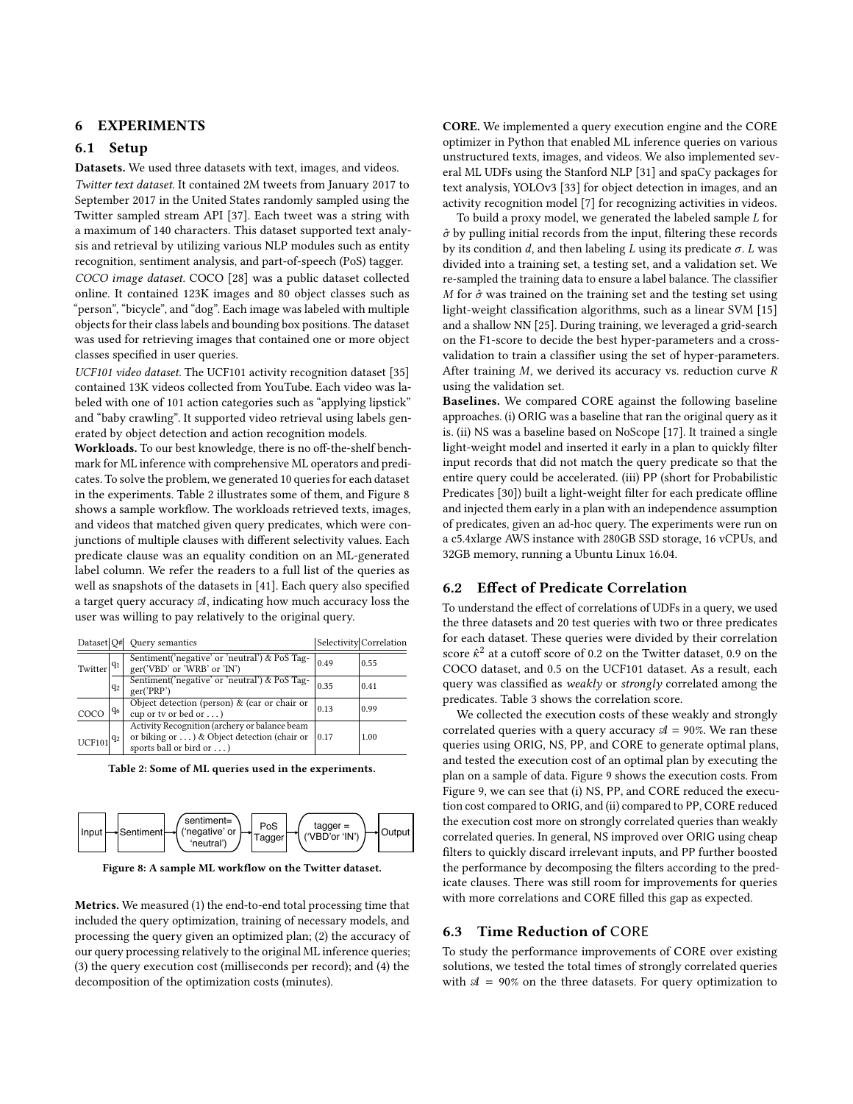# 6 EXPERIMENTS

# 6.1 Setup

Datasets. We used three datasets with text, images, and videos.

Twitter text dataset. It contained 2M tweets from January 2017 to September 2017 in the United States randomly sampled using the Twitter sampled stream API [\[37\]](#page-12-35). Each tweet was a string with a maximum of 140 characters. This dataset supported text analysis and retrieval by utilizing various NLP modules such as entity recognition, sentiment analysis, and part-of-speech (PoS) tagger. COCO image dataset. COCO [\[28\]](#page-12-36) was a public dataset collected online. It contained 123K images and 80 object classes such as "person", "bicycle", and "dog". Each image was labeled with multiple objects for their class labels and bounding box positions. The dataset was used for retrieving images that contained one or more object classes specified in user queries.

UCF101 video dataset. The UCF101 activity recognition dataset [\[35\]](#page-12-37) contained 13K videos collected from YouTube. Each video was labeled with one of 101 action categories such as "applying lipstick" and "baby crawling". It supported video retrieval using labels generated by object detection and action recognition models.

Workloads. To our best knowledge, there is no off-the-shelf benchmark for ML inference with comprehensive ML operators and predicates. To solve the problem, we generated 10 queries for each dataset in the experiments. Table [2](#page-8-0) illustrates some of them, and Figure [8](#page-8-1) shows a sample workflow. The workloads retrieved texts, images, and videos that matched given query predicates, which were conjunctions of multiple clauses with different selectivity values. Each predicate clause was an equality condition on an ML-generated label column. We refer the readers to a full list of the queries as well as snapshots of the datasets in [\[41\]](#page-12-38). Each query also specified a target query accuracy  $A$ , indicating how much accuracy loss the user was willing to pay relatively to the original query.

<span id="page-8-0"></span>

| Dataset O#      |       | Query semantics                                                                                                          |      | Selectivity Correlation |
|-----------------|-------|--------------------------------------------------------------------------------------------------------------------------|------|-------------------------|
| Twitter $ q_1 $ |       | Sentiment('negative' or 'neutral') & PoS Tag-<br>ger('VBD' or 'WRB' or 'IN')                                             | 0.49 | 0.55                    |
|                 | $q_2$ | Sentiment('negative' or 'neutral') & PoS Tag-<br>ger('PRP')                                                              | 0.35 | 0.41                    |
| COCO            | $q_6$ | Object detection (person) & (car or chair or<br>cup or tv or bed or )                                                    | 0.13 | 0.99                    |
| $UCF101 ^{q_2}$ |       | Activity Recognition (archery or balance beam<br>or biking or ) & Object detection (chair or<br>sports ball or bird or ) | 0.17 | 1.00                    |

Table 2: Some of ML queries used in the experiments.

<span id="page-8-1"></span>

Figure 8: A sample ML workflow on the Twitter dataset.

Metrics. We measured (1) the end-to-end total processing time that included the query optimization, training of necessary models, and processing the query given an optimized plan; (2) the accuracy of our query processing relatively to the original ML inference queries; (3) the query execution cost (milliseconds per record); and (4) the decomposition of the optimization costs (minutes).

CORE. We implemented a query execution engine and the CORE optimizer in Python that enabled ML inference queries on various unstructured texts, images, and videos. We also implemented several ML UDFs using the Stanford NLP [\[31\]](#page-12-39) and spaCy packages for text analysis, YOLOv3 [\[33\]](#page-12-40) for object detection in images, and an activity recognition model [\[7\]](#page-12-41) for recognizing activities in videos.

To build a proxy model, we generated the labeled sample  $L$  for  $\hat{\sigma}$  by pulling initial records from the input, filtering these records by its condition  $d$ , and then labeling  $L$  using its predicate  $\sigma$ .  $L$  was divided into a training set, a testing set, and a validation set. We re-sampled the training data to ensure a label balance. The classifier M for  $\hat{\sigma}$  was trained on the training set and the testing set using light-weight classification algorithms, such as a linear SVM [\[15\]](#page-12-29) and a shallow NN [\[25\]](#page-12-30). During training, we leveraged a grid-search on the F1-score to decide the best hyper-parameters and a crossvalidation to train a classifier using the set of hyper-parameters. After training  $M$ , we derived its accuracy vs. reduction curve  $R$ using the validation set.

Baselines. We compared CORE against the following baseline approaches. (i) ORIG was a baseline that ran the original query as it is. (ii) NS was a baseline based on NoScope [\[17\]](#page-12-6). It trained a single light-weight model and inserted it early in a plan to quickly filter input records that did not match the query predicate so that the entire query could be accelerated. (iii) PP (short for Probabilistic Predicates [\[30\]](#page-12-8)) built a light-weight filter for each predicate offline and injected them early in a plan with an independence assumption of predicates, given an ad-hoc query. The experiments were run on a c5.4xlarge AWS instance with 280GB SSD storage, 16 vCPUs, and 32GB memory, running a Ubuntu Linux 16.04.

# 6.2 Effect of Predicate Correlation

To understand the effect of correlations of UDFs in a query, we used the three datasets and 20 test queries with two or three predicates for each dataset. These queries were divided by their correlation score  $\hat{\kappa}^2$  at a cutoff score of 0.2 on the Twitter dataset, 0.9 on the COCO dataset, and 0.5 on the UCF101 dataset. As a result, each query was classified as weakly or strongly correlated among the predicates. Table [3](#page-9-0) shows the correlation score.

We collected the execution costs of these weakly and strongly correlated queries with a query accuracy  $A = 90\%$ . We ran these queries using ORIG, NS, PP, and CORE to generate optimal plans, and tested the execution cost of an optimal plan by executing the plan on a sample of data. Figure [9](#page-9-1) shows the execution costs. From Figure [9,](#page-9-1) we can see that (i) NS, PP, and CORE reduced the execution cost compared to ORIG, and (ii) compared to PP, CORE reduced the execution cost more on strongly correlated queries than weakly correlated queries. In general, NS improved over ORIG using cheap filters to quickly discard irrelevant inputs, and PP further boosted the performance by decomposing the filters according to the predicate clauses. There was still room for improvements for queries with more correlations and CORE filled this gap as expected.

#### <span id="page-8-2"></span>6.3 Time Reduction of CORE

To study the performance improvements of CORE over existing solutions, we tested the total times of strongly correlated queries with  $A = 90\%$  on the three datasets. For query optimization to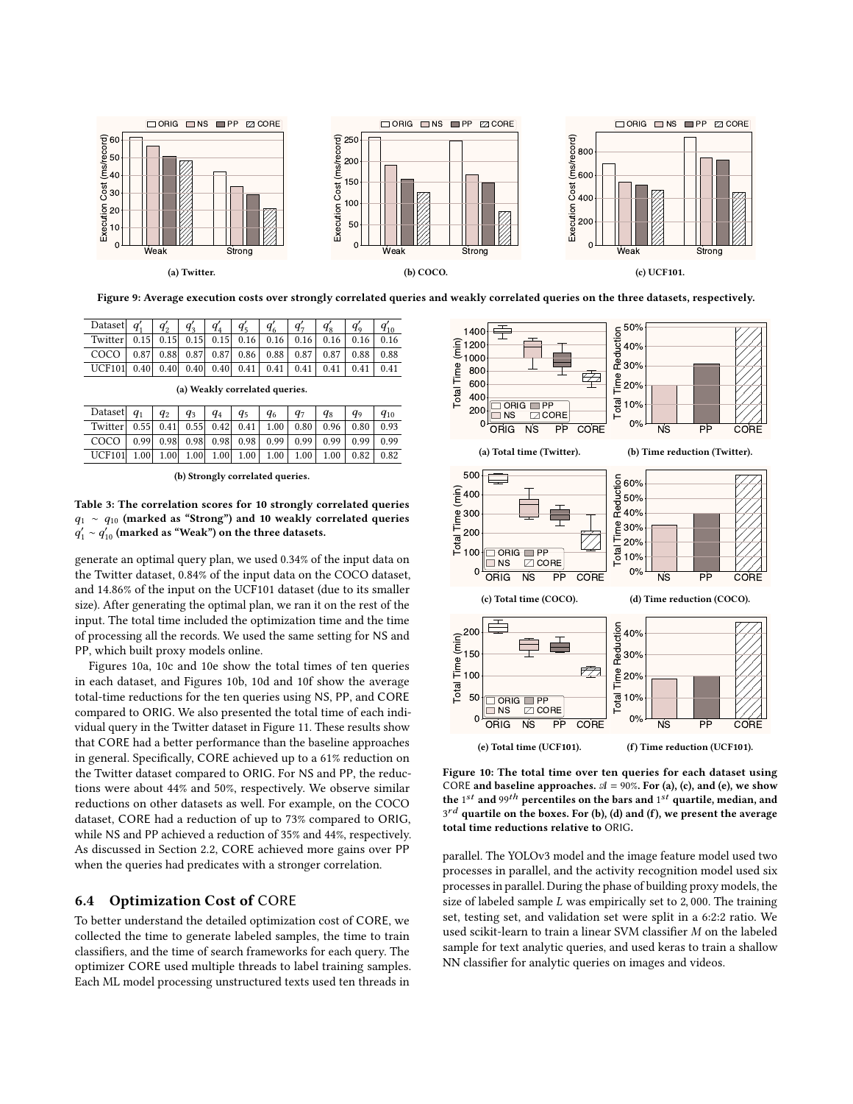<span id="page-9-1"></span>

Figure 9: Average execution costs over strongly correlated queries and weakly correlated queries on the three datasets, respectively.

<span id="page-9-0"></span>

| Dataset $q'_1$   $q'_2$   $q'_3$   $q'_4$   $q'_5$   $q'_6$   $q'_7$   $q'_8$   $q'_9$   $q'_{10}$ |  |  |  |  |  |
|----------------------------------------------------------------------------------------------------|--|--|--|--|--|
| Twitter 0.15 0.15 0.15 0.15 0.16 0.16 0.16 0.16 0.16 0.16                                          |  |  |  |  |  |
| $COCO$   0.87   0.88   0.87   0.87   0.86   0.88   0.87   0.87   0.88   0.88                       |  |  |  |  |  |
|                                                                                                    |  |  |  |  |  |

(a) Weakly correlated queries.

| Dataset $q_1$   $q_2$   $q_3$   $q_4$   $q_5$   $q_6$   $q_7$   $q_8$   $q_9$   $q_{10}$ |  |  |  |  |  |
|------------------------------------------------------------------------------------------|--|--|--|--|--|
| Twitter 0.55 0.41 0.55 0.42 0.41 1.00 0.80 0.96 0.80 0.93                                |  |  |  |  |  |
| $COCO$   0.99   0.98   0.98   0.98   0.98   0.99   0.99   0.99   0.99   0.99             |  |  |  |  |  |
|                                                                                          |  |  |  |  |  |

(b) Strongly correlated queries.

Table 3: The correlation scores for 10 strongly correlated queries  $q_1 \sim q_{10}$  (marked as "Strong") and 10 weakly correlated queries  $q'_1 \sim q'_{10}$  (marked as "Weak") on the three datasets.

generate an optimal query plan, we used 0.34% of the input data on the Twitter dataset, 0.84% of the input data on the COCO dataset, and 14.86% of the input on the UCF101 dataset (due to its smaller size). After generating the optimal plan, we ran it on the rest of the input. The total time included the optimization time and the time of processing all the records. We used the same setting for NS and PP, which built proxy models online.

[Figures 10a, 10c](#page-9-2) and [10e](#page-9-2) show the total times of ten queries in each dataset, and [Figures 10b, 10d](#page-9-2) and [10f](#page-9-2) show the average total-time reductions for the ten queries using NS, PP, and CORE compared to ORIG. We also presented the total time of each individual query in the Twitter dataset in Figure [11.](#page-10-0) These results show that CORE had a better performance than the baseline approaches in general. Specifically, CORE achieved up to a 61% reduction on the Twitter dataset compared to ORIG. For NS and PP, the reductions were about 44% and 50%, respectively. We observe similar reductions on other datasets as well. For example, on the COCO dataset, CORE had a reduction of up to 73% compared to ORIG, while NS and PP achieved a reduction of 35% and 44%, respectively. As discussed in Section [2.2,](#page-2-0) CORE achieved more gains over PP when the queries had predicates with a stronger correlation.

#### 6.4 Optimization Cost of CORE

To better understand the detailed optimization cost of CORE, we collected the time to generate labeled samples, the time to train classifiers, and the time of search frameworks for each query. The optimizer CORE used multiple threads to label training samples. Each ML model processing unstructured texts used ten threads in

<span id="page-9-2"></span>

Figure 10: The total time over ten queries for each dataset using CORE and baseline approaches.  $A = 90\%$ . For (a), (c), and (e), we show the 1<sup>st</sup> and 99<sup>th</sup> percentiles on the bars and 1<sup>st</sup> quartile, median, and  $3^{rd}$  quartile on the boxes. For (b), (d) and (f), we present the average total time reductions relative to ORIG.

parallel. The YOLOv3 model and the image feature model used two processes in parallel, and the activity recognition model used six processes in parallel. During the phase of building proxy models, the size of labeled sample  $L$  was empirically set to 2,000. The training set, testing set, and validation set were split in a 6:2:2 ratio. We used scikit-learn to train a linear SVM classifier  $M$  on the labeled sample for text analytic queries, and used keras to train a shallow NN classifier for analytic queries on images and videos.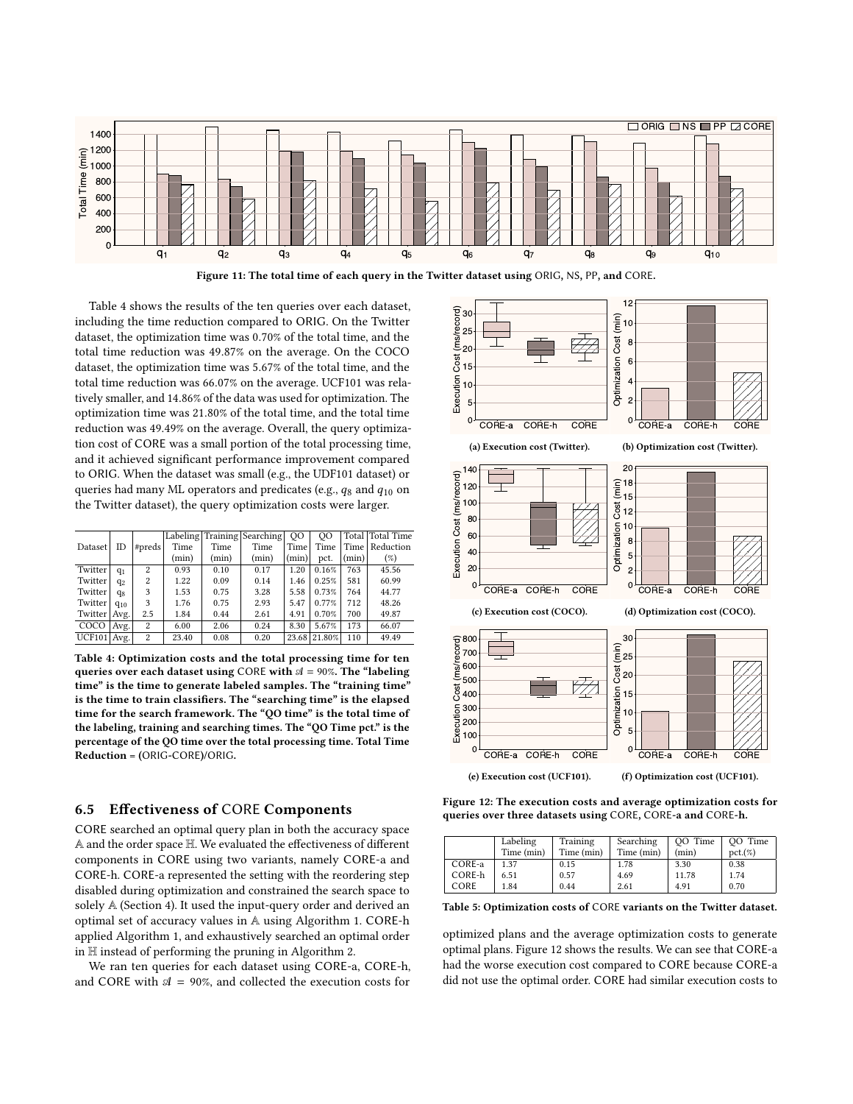<span id="page-10-0"></span>

Figure 11: The total time of each query in the Twitter dataset using ORIG, NS, PP, and CORE.

Table [4](#page-10-1) shows the results of the ten queries over each dataset, including the time reduction compared to ORIG. On the Twitter dataset, the optimization time was 0.70% of the total time, and the total time reduction was 49.87% on the average. On the COCO dataset, the optimization time was 5.67% of the total time, and the total time reduction was 66.07% on the average. UCF101 was relatively smaller, and 14.86% of the data was used for optimization. The optimization time was 21.80% of the total time, and the total time reduction was 49.49% on the average. Overall, the query optimization cost of CORE was a small portion of the total processing time, and it achieved significant performance improvement compared to ORIG. When the dataset was small (e.g., the UDF101 dataset) or queries had many ML operators and predicates (e.g.,  $q_8$  and  $q_{10}$  on the Twitter dataset), the query optimization costs were larger.

<span id="page-10-1"></span>

|                 |                |        | Labeling |       | Training Searching | <sub>00</sub> | OO     |       | Total Total Time |
|-----------------|----------------|--------|----------|-------|--------------------|---------------|--------|-------|------------------|
| Dataset         | ID             | #preds | Time     | Time  | Time               | Time          | Time   |       | Time   Reduction |
|                 |                |        | (min)    | (min) | (min)              | (min)         | pct.   | (min) | (%)              |
| Twitter         | $q_1$          | 2      | 0.93     | 0.10  | 0.17               | 1.20          | 0.16%  | 763   | 45.56            |
| Twitter         | $q_2$          | 2      | 1.22     | 0.09  | 0.14               | 1.46          | 0.25%  | 581   | 60.99            |
| Twitter         | q <sub>8</sub> | 3      | 1.53     | 0.75  | 3.28               | 5.58          | 0.73%  | 764   | 44.77            |
| Twitter         | $q_{10}$       | 3      | 1.76     | 0.75  | 2.93               | 5.47          | 0.77%  | 712   | 48.26            |
| Twitter   Avg.  |                | 2.5    | 1.84     | 0.44  | 2.61               | 4.91          | 0.70%  | 700   | 49.87            |
| COCO            | Avg.           | 2      | 6.00     | 2.06  | 0.24               | 8.30          | 5.67%  | 173   | 66.07            |
| $UCF101$   Avg. |                | 2      | 23.40    | 0.08  | 0.20               | 23.68         | 21.80% | 110   | 49.49            |

Table 4: Optimization costs and the total processing time for ten queries over each dataset using CORE with  $A = 90\%$ . The "labeling time" is the time to generate labeled samples. The "training time" is the time to train classifiers. The "searching time" is the elapsed time for the search framework. The "QO time" is the total time of the labeling, training and searching times. The "QO Time pct." is the percentage of the QO time over the total processing time. Total Time Reduction = (ORIG-CORE)/ORIG.

# 6.5 Effectiveness of CORE Components

CORE searched an optimal query plan in both the accuracy space A and the order space H. We evaluated the effectiveness of different components in CORE using two variants, namely CORE-a and CORE-h. CORE-a represented the setting with the reordering step disabled during optimization and constrained the search space to solely A (Section [4\)](#page-4-1). It used the input-query order and derived an optimal set of accuracy values in A using Algorithm [1.](#page-4-2) CORE-h applied Algorithm [1,](#page-4-2) and exhaustively searched an optimal order in H instead of performing the pruning in Algorithm [2.](#page-6-4)

We ran ten queries for each dataset using CORE-a, CORE-h, and CORE with  $A = 90\%$ , and collected the execution costs for

<span id="page-10-2"></span>

Figure 12: The execution costs and average optimization costs for queries over three datasets using CORE, CORE-a and CORE-h.

<span id="page-10-3"></span>

|        | Labeling<br>Time (min) | Training<br>Time (min) | Searching<br>Time (min) | OO Time<br>(min) | OO Time<br>$pct.$ (%) |
|--------|------------------------|------------------------|-------------------------|------------------|-----------------------|
| CORE-a | 1.37                   | 0.15                   | 1.78                    | 3.30             | 0.38                  |
| CORE-h | 6.51                   | 0.57                   | 4.69                    | 11.78            | 1.74                  |
| CORE   | 1.84                   | 0.44                   | 2.61                    | 4.91             | 0.70                  |

Table 5: Optimization costs of CORE variants on the Twitter dataset.

optimized plans and the average optimization costs to generate optimal plans. Figure [12](#page-10-2) shows the results. We can see that CORE-a had the worse execution cost compared to CORE because CORE-a did not use the optimal order. CORE had similar execution costs to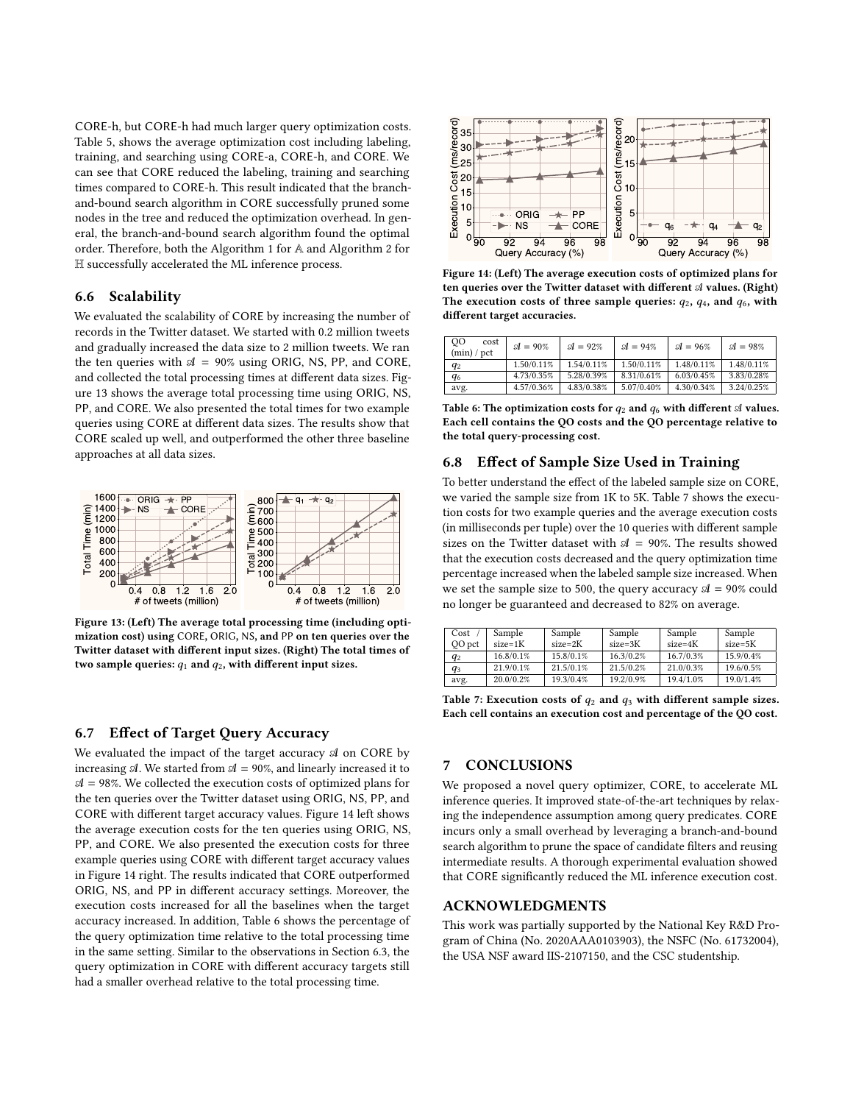CORE-h, but CORE-h had much larger query optimization costs. Table [5,](#page-10-3) shows the average optimization cost including labeling, training, and searching using CORE-a, CORE-h, and CORE. We can see that CORE reduced the labeling, training and searching times compared to CORE-h. This result indicated that the branchand-bound search algorithm in CORE successfully pruned some nodes in the tree and reduced the optimization overhead. In general, the branch-and-bound search algorithm found the optimal order. Therefore, both the Algorithm [1](#page-4-2) for A and Algorithm [2](#page-6-4) for H successfully accelerated the ML inference process.

#### 6.6 Scalability

We evaluated the scalability of CORE by increasing the number of records in the Twitter dataset. We started with 0.2 million tweets and gradually increased the data size to 2 million tweets. We ran the ten queries with  $A = 90\%$  using ORIG, NS, PP, and CORE, and collected the total processing times at different data sizes. Figure [13](#page-11-0) shows the average total processing time using ORIG, NS, PP, and CORE. We also presented the total times for two example queries using CORE at different data sizes. The results show that CORE scaled up well, and outperformed the other three baseline approaches at all data sizes.

<span id="page-11-0"></span>

Figure 13: (Left) The average total processing time (including optimization cost) using CORE, ORIG, NS, and PP on ten queries over the Twitter dataset with different input sizes. (Right) The total times of two sample queries:  $q_1$  and  $q_2$ , with different input sizes.

# 6.7 Effect of Target Query Accuracy

We evaluated the impact of the target accuracy  $A$  on CORE by increasing  $\mathcal{A}$ . We started from  $\mathcal{A} = 90\%$ , and linearly increased it to  $A = 98\%$ . We collected the execution costs of optimized plans for the ten queries over the Twitter dataset using ORIG, NS, PP, and CORE with different target accuracy values. Figure [14](#page-11-1) left shows the average execution costs for the ten queries using ORIG, NS, PP, and CORE. We also presented the execution costs for three example queries using CORE with different target accuracy values in Figure [14](#page-11-1) right. The results indicated that CORE outperformed ORIG, NS, and PP in different accuracy settings. Moreover, the execution costs increased for all the baselines when the target accuracy increased. In addition, Table [6](#page-11-2) shows the percentage of the query optimization time relative to the total processing time in the same setting. Similar to the observations in Section [6.3,](#page-8-2) the query optimization in CORE with different accuracy targets still where the the distance of the smaller to the model and the smaller the smaller to the smaller overhead relative to the smaller to the smaller total process of the smaller tens of the smaller tens of the smaller tens of th

<span id="page-11-1"></span>

Figure 14: (Left) The average execution costs of optimized plans for ten queries over the Twitter dataset with different  $A$  values. (Right) The execution costs of three sample queries:  $q_2$ ,  $q_4$ , and  $q_6$ , with different target accuracies.

<span id="page-11-2"></span>

| 00<br>cost<br>(min) / pct | $\mathcal{A} = 90\%$ | $\mathcal{A} = 92\%$ | $\mathcal{A} = 94\%$ | $\mathcal{A} = 96\%$ | $\mathcal{A} = 98\%$ |
|---------------------------|----------------------|----------------------|----------------------|----------------------|----------------------|
| $q_2$                     | 1.50/0.11%           | 1.54/0.11%           | 1.50/0.11%           | 1.48/0.11%           | 1.48/0.11%           |
| $q_6$                     | 4.73/0.35%           | 5.28/0.39%           | 8.31/0.61%           | 6.03/0.45%           | 3.83/0.28%           |
| avg.                      | 4.57/0.36%           | 4.83/0.38%           | 5.07/0.40%           | 4.30/0.34%           | 3.24/0.25%           |

Table 6: The optimization costs for  $q_2$  and  $q_6$  with different  $\mathcal A$  values. Each cell contains the QO costs and the QO percentage relative to the total query-processing cost.

#### 6.8 Effect of Sample Size Used in Training

To better understand the effect of the labeled sample size on CORE, we varied the sample size from 1K to 5K. Table [7](#page-11-3) shows the execution costs for two example queries and the average execution costs (in milliseconds per tuple) over the 10 queries with different sample sizes on the Twitter dataset with  $A = 90\%$ . The results showed that the execution costs decreased and the query optimization time percentage increased when the labeled sample size increased. When we set the sample size to 500, the query accuracy  $\mathcal{A} = 90\%$  could no longer be guaranteed and decreased to 82% on average.

<span id="page-11-3"></span>

| Cost   | Sample    | Sample    | Sample    | Sample    | Sample    |
|--------|-----------|-----------|-----------|-----------|-----------|
| QO pct | $size=1K$ | $size=2K$ | $size=3K$ | $size=4K$ | size=5K   |
| $q_2$  | 16.8/0.1% | 15.8/0.1% | 16.3/0.2% | 16.7/0.3% | 15.9/0.4% |
| $q_3$  | 21.9/0.1% | 21.5/0.1% | 21.5/0.2% | 21.0/0.3% | 19.6/0.5% |
| avg.   | 20.0/0.2% | 19.3/0.4% | 19.2/0.9% | 19.4/1.0% | 19.0/1.4% |

Table 7: Execution costs of  $q_2$  and  $q_3$  with different sample sizes. Each cell contains an execution cost and percentage of the QO cost.

# 7 CONCLUSIONS

We proposed a novel query optimizer, CORE, to accelerate ML inference queries. It improved state-of-the-art techniques by relaxing the independence assumption among query predicates. CORE incurs only a small overhead by leveraging a branch-and-bound search algorithm to prune the space of candidate filters and reusing intermediate results. A thorough experimental evaluation showed that CORE significantly reduced the ML inference execution cost.

# ACKNOWLEDGMENTS

This work was partially supported by the National Key R&D Program of China (No. 2020AAA0103903), the NSFC (No. 61732004), the USA NSF award IIS-2107150, and the CSC studentship.